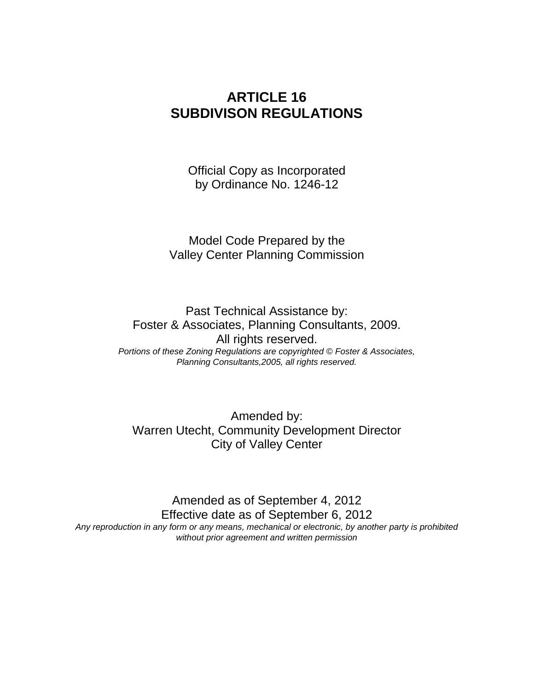# **ARTICLE 16 SUBDIVISON REGULATIONS**

Official Copy as Incorporated by Ordinance No. 1246-12

Model Code Prepared by the Valley Center Planning Commission

Past Technical Assistance by: Foster & Associates, Planning Consultants, 2009. All rights reserved. *Portions of these Zoning Regulations are copyrighted © Foster & Associates, Planning Consultants,2005, all rights reserved.*

Amended by: Warren Utecht, Community Development Director City of Valley Center

Amended as of September 4, 2012 Effective date as of September 6, 2012 *Any reproduction in any form or any means, mechanical or electronic, by another party is prohibited without prior agreement and written permission*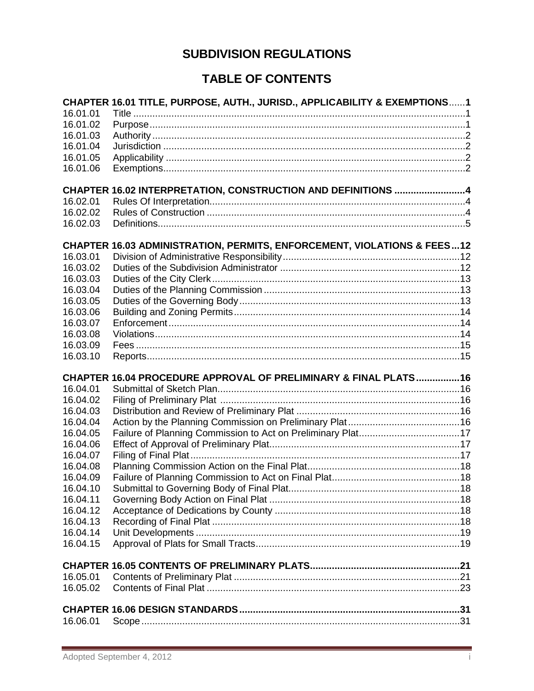# **SUBDIVISION REGULATIONS**

# **TABLE OF CONTENTS**

|                      | CHAPTER 16.01 TITLE, PURPOSE, AUTH., JURISD., APPLICABILITY & EXEMPTIONS1          |  |
|----------------------|------------------------------------------------------------------------------------|--|
| 16.01.01             |                                                                                    |  |
| 16.01.02             |                                                                                    |  |
| 16.01.03             |                                                                                    |  |
| 16.01.04             |                                                                                    |  |
| 16.01.05             |                                                                                    |  |
| 16.01.06             |                                                                                    |  |
|                      | CHAPTER 16.02 INTERPRETATION, CONSTRUCTION AND DEFINITIONS 4                       |  |
| 16.02.01             |                                                                                    |  |
| 16.02.02             |                                                                                    |  |
| 16.02.03             |                                                                                    |  |
|                      |                                                                                    |  |
| 16.03.01             | <b>CHAPTER 16.03 ADMINISTRATION, PERMITS, ENFORCEMENT, VIOLATIONS &amp; FEES12</b> |  |
| 16.03.02             |                                                                                    |  |
| 16.03.03             |                                                                                    |  |
| 16.03.04             |                                                                                    |  |
| 16.03.05             |                                                                                    |  |
| 16.03.06             |                                                                                    |  |
| 16.03.07             |                                                                                    |  |
| 16.03.08             |                                                                                    |  |
| 16.03.09             |                                                                                    |  |
| 16.03.10             |                                                                                    |  |
|                      |                                                                                    |  |
|                      | CHAPTER 16.04 PROCEDURE APPROVAL OF PRELIMINARY & FINAL PLATS16                    |  |
| 16.04.01             |                                                                                    |  |
| 16.04.02             |                                                                                    |  |
| 16.04.03             |                                                                                    |  |
| 16.04.04             |                                                                                    |  |
| 16.04.05             |                                                                                    |  |
| 16.04.06             |                                                                                    |  |
| 16.04.07             |                                                                                    |  |
| 16.04.08             |                                                                                    |  |
| 16.04.09<br>16.04.10 |                                                                                    |  |
| 16.04.11             |                                                                                    |  |
| 16.04.12             |                                                                                    |  |
| 16.04.13             |                                                                                    |  |
| 16.04.14             |                                                                                    |  |
| 16.04.15             |                                                                                    |  |
|                      |                                                                                    |  |
|                      |                                                                                    |  |
| 16.05.01             |                                                                                    |  |
| 16.05.02             |                                                                                    |  |
|                      |                                                                                    |  |
| 16.06.01             |                                                                                    |  |
|                      |                                                                                    |  |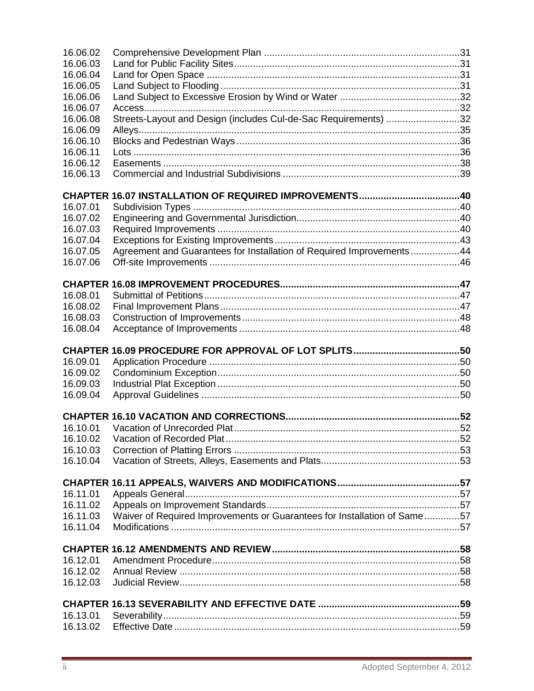| 16.06.02             |                                                                          |  |
|----------------------|--------------------------------------------------------------------------|--|
| 16.06.03             |                                                                          |  |
| 16.06.04             |                                                                          |  |
| 16.06.05             |                                                                          |  |
| 16.06.06             |                                                                          |  |
| 16.06.07             |                                                                          |  |
| 16.06.08             | Streets-Layout and Design (includes Cul-de-Sac Requirements) 32          |  |
| 16.06.09             |                                                                          |  |
| 16.06.10             |                                                                          |  |
| 16.06.11             |                                                                          |  |
| 16.06.12             |                                                                          |  |
| 16.06.13             |                                                                          |  |
|                      |                                                                          |  |
|                      |                                                                          |  |
| 16.07.01             |                                                                          |  |
| 16.07.02             |                                                                          |  |
| 16.07.03             |                                                                          |  |
| 16.07.04             |                                                                          |  |
| 16.07.05             | Agreement and Guarantees for Installation of Required Improvements44     |  |
| 16.07.06             |                                                                          |  |
|                      |                                                                          |  |
|                      |                                                                          |  |
| 16.08.01             |                                                                          |  |
| 16.08.02             |                                                                          |  |
| 16.08.03             |                                                                          |  |
| 16.08.04             |                                                                          |  |
|                      |                                                                          |  |
|                      |                                                                          |  |
|                      |                                                                          |  |
| 16.09.01             |                                                                          |  |
| 16.09.02             |                                                                          |  |
| 16.09.03             |                                                                          |  |
| 16.09.04             |                                                                          |  |
|                      |                                                                          |  |
|                      |                                                                          |  |
| 16.10.01             |                                                                          |  |
|                      |                                                                          |  |
| 16.10.03             |                                                                          |  |
| 16.10.04             |                                                                          |  |
|                      |                                                                          |  |
| 16.11.01             |                                                                          |  |
| 16.11.02             |                                                                          |  |
| 16.11.03             |                                                                          |  |
| 16.11.04             | Waiver of Required Improvements or Guarantees for Installation of Same57 |  |
|                      |                                                                          |  |
|                      |                                                                          |  |
| 16.12.01             |                                                                          |  |
| 16.12.02             |                                                                          |  |
| 16.12.03             |                                                                          |  |
|                      |                                                                          |  |
|                      |                                                                          |  |
| 16.13.01<br>16.13.02 |                                                                          |  |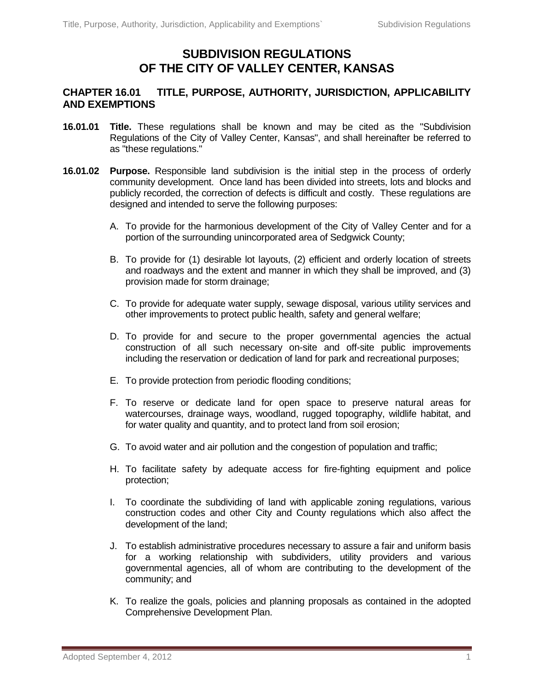# **SUBDIVISION REGULATIONS OF THE CITY OF VALLEY CENTER, KANSAS**

## **CHAPTER 16.01 TITLE, PURPOSE, AUTHORITY, JURISDICTION, APPLICABILITY AND EXEMPTIONS**

- **16.01.01 Title.** These regulations shall be known and may be cited as the "Subdivision Regulations of the City of Valley Center, Kansas", and shall hereinafter be referred to as "these regulations."
- **16.01.02 Purpose.** Responsible land subdivision is the initial step in the process of orderly community development. Once land has been divided into streets, lots and blocks and publicly recorded, the correction of defects is difficult and costly. These regulations are designed and intended to serve the following purposes:
	- A. To provide for the harmonious development of the City of Valley Center and for a portion of the surrounding unincorporated area of Sedgwick County;
	- B. To provide for (1) desirable lot layouts, (2) efficient and orderly location of streets and roadways and the extent and manner in which they shall be improved, and (3) provision made for storm drainage;
	- C. To provide for adequate water supply, sewage disposal, various utility services and other improvements to protect public health, safety and general welfare;
	- D. To provide for and secure to the proper governmental agencies the actual construction of all such necessary on-site and off-site public improvements including the reservation or dedication of land for park and recreational purposes;
	- E. To provide protection from periodic flooding conditions;
	- F. To reserve or dedicate land for open space to preserve natural areas for watercourses, drainage ways, woodland, rugged topography, wildlife habitat, and for water quality and quantity, and to protect land from soil erosion;
	- G. To avoid water and air pollution and the congestion of population and traffic;
	- H. To facilitate safety by adequate access for fire-fighting equipment and police protection;
	- I. To coordinate the subdividing of land with applicable zoning regulations, various construction codes and other City and County regulations which also affect the development of the land;
	- J. To establish administrative procedures necessary to assure a fair and uniform basis for a working relationship with subdividers, utility providers and various governmental agencies, all of whom are contributing to the development of the community; and
	- K. To realize the goals, policies and planning proposals as contained in the adopted Comprehensive Development Plan.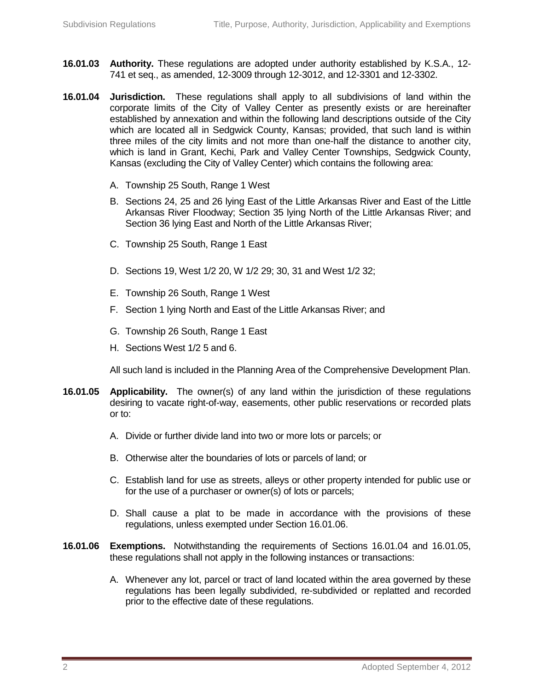- **16.01.03 Authority.** These regulations are adopted under authority established by K.S.A., 12- 741 et seq., as amended, 12-3009 through 12-3012, and 12-3301 and 12-3302.
- **16.01.04 Jurisdiction.** These regulations shall apply to all subdivisions of land within the corporate limits of the City of Valley Center as presently exists or are hereinafter established by annexation and within the following land descriptions outside of the City which are located all in Sedgwick County, Kansas; provided, that such land is within three miles of the city limits and not more than one-half the distance to another city, which is land in Grant, Kechi, Park and Valley Center Townships, Sedgwick County, Kansas (excluding the City of Valley Center) which contains the following area:
	- A. Township 25 South, Range 1 West
	- B. Sections 24, 25 and 26 lying East of the Little Arkansas River and East of the Little Arkansas River Floodway; Section 35 lying North of the Little Arkansas River; and Section 36 lying East and North of the Little Arkansas River;
	- C. Township 25 South, Range 1 East
	- D. Sections 19, West 1/2 20, W 1/2 29; 30, 31 and West 1/2 32;
	- E. Township 26 South, Range 1 West
	- F. Section 1 lying North and East of the Little Arkansas River; and
	- G. Township 26 South, Range 1 East
	- H. Sections West 1/2 5 and 6.

All such land is included in the Planning Area of the Comprehensive Development Plan.

- **16.01.05 Applicability.** The owner(s) of any land within the jurisdiction of these regulations desiring to vacate right-of-way, easements, other public reservations or recorded plats or to:
	- A. Divide or further divide land into two or more lots or parcels; or
	- B. Otherwise alter the boundaries of lots or parcels of land; or
	- C. Establish land for use as streets, alleys or other property intended for public use or for the use of a purchaser or owner(s) of lots or parcels;
	- D. Shall cause a plat to be made in accordance with the provisions of these regulations, unless exempted under Section 16.01.06.
- **16.01.06 Exemptions.** Notwithstanding the requirements of Sections 16.01.04 and 16.01.05, these regulations shall not apply in the following instances or transactions:
	- A. Whenever any lot, parcel or tract of land located within the area governed by these regulations has been legally subdivided, re-subdivided or replatted and recorded prior to the effective date of these regulations.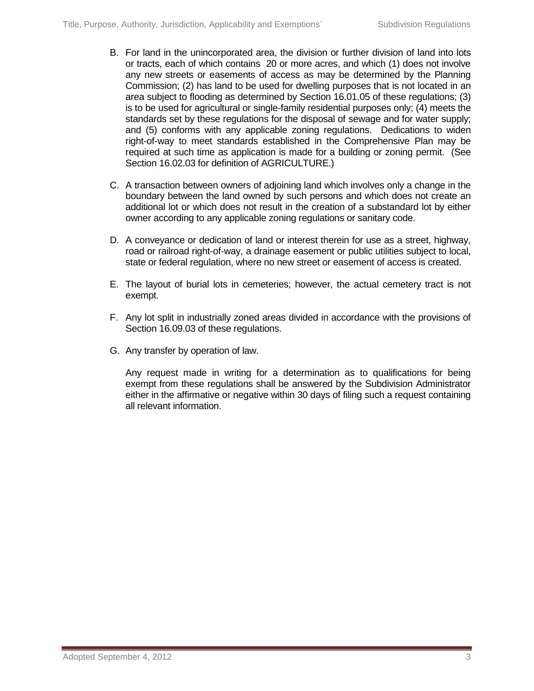- B. For land in the unincorporated area, the division or further division of land into lots or tracts, each of which contains 20 or more acres, and which (1) does not involve any new streets or easements of access as may be determined by the Planning Commission; (2) has land to be used for dwelling purposes that is not located in an area subject to flooding as determined by Section 16.01.05 of these regulations; (3) is to be used for agricultural or single-family residential purposes only; (4) meets the standards set by these regulations for the disposal of sewage and for water supply; and (5) conforms with any applicable zoning regulations. Dedications to widen right-of-way to meet standards established in the Comprehensive Plan may be required at such time as application is made for a building or zoning permit. (See Section 16.02.03 for definition of AGRICULTURE.)
- C. A transaction between owners of adjoining land which involves only a change in the boundary between the land owned by such persons and which does not create an additional lot or which does not result in the creation of a substandard lot by either owner according to any applicable zoning regulations or sanitary code.
- D. A conveyance or dedication of land or interest therein for use as a street, highway, road or railroad right-of-way, a drainage easement or public utilities subject to local, state or federal regulation, where no new street or easement of access is created.
- E. The layout of burial lots in cemeteries; however, the actual cemetery tract is not exempt.
- F. Any lot split in industrially zoned areas divided in accordance with the provisions of Section 16.09.03 of these regulations.
- G. Any transfer by operation of law.

Any request made in writing for a determination as to qualifications for being exempt from these regulations shall be answered by the Subdivision Administrator either in the affirmative or negative within 30 days of filing such a request containing all relevant information.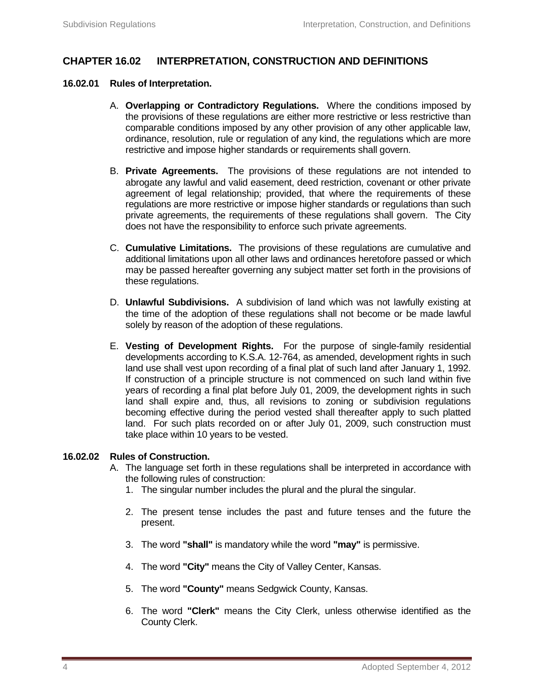# **CHAPTER 16.02 INTERPRETATION, CONSTRUCTION AND DEFINITIONS**

#### **16.02.01 Rules of Interpretation.**

- A. **Overlapping or Contradictory Regulations.** Where the conditions imposed by the provisions of these regulations are either more restrictive or less restrictive than comparable conditions imposed by any other provision of any other applicable law, ordinance, resolution, rule or regulation of any kind, the regulations which are more restrictive and impose higher standards or requirements shall govern.
- B. **Private Agreements.** The provisions of these regulations are not intended to abrogate any lawful and valid easement, deed restriction, covenant or other private agreement of legal relationship; provided, that where the requirements of these regulations are more restrictive or impose higher standards or regulations than such private agreements, the requirements of these regulations shall govern. The City does not have the responsibility to enforce such private agreements.
- C. **Cumulative Limitations.** The provisions of these regulations are cumulative and additional limitations upon all other laws and ordinances heretofore passed or which may be passed hereafter governing any subject matter set forth in the provisions of these regulations.
- D. **Unlawful Subdivisions.** A subdivision of land which was not lawfully existing at the time of the adoption of these regulations shall not become or be made lawful solely by reason of the adoption of these regulations.
- E. **Vesting of Development Rights.** For the purpose of single-family residential developments according to K.S.A. 12-764, as amended, development rights in such land use shall vest upon recording of a final plat of such land after January 1, 1992. If construction of a principle structure is not commenced on such land within five years of recording a final plat before July 01, 2009, the development rights in such land shall expire and, thus, all revisions to zoning or subdivision regulations becoming effective during the period vested shall thereafter apply to such platted land. For such plats recorded on or after July 01, 2009, such construction must take place within 10 years to be vested.

#### **16.02.02 Rules of Construction.**

- A. The language set forth in these regulations shall be interpreted in accordance with the following rules of construction:
	- 1. The singular number includes the plural and the plural the singular.
	- 2. The present tense includes the past and future tenses and the future the present.
	- 3. The word **"shall"** is mandatory while the word **"may"** is permissive.
	- 4. The word **"City"** means the City of Valley Center, Kansas.
	- 5. The word **"County"** means Sedgwick County, Kansas.
	- 6. The word **"Clerk"** means the City Clerk, unless otherwise identified as the County Clerk.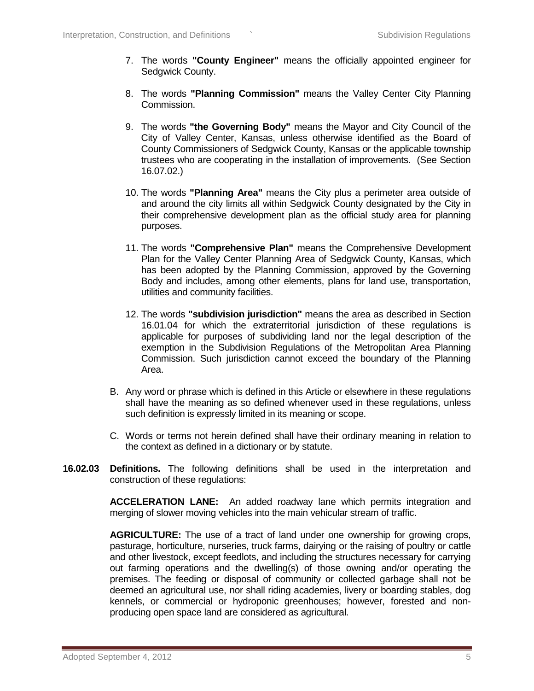- 7. The words **"County Engineer"** means the officially appointed engineer for Sedgwick County.
- 8. The words **"Planning Commission"** means the Valley Center City Planning Commission.
- 9. The words **"the Governing Body"** means the Mayor and City Council of the City of Valley Center, Kansas, unless otherwise identified as the Board of County Commissioners of Sedgwick County, Kansas or the applicable township trustees who are cooperating in the installation of improvements. (See Section 16.07.02.)
- 10. The words **"Planning Area"** means the City plus a perimeter area outside of and around the city limits all within Sedgwick County designated by the City in their comprehensive development plan as the official study area for planning purposes.
- 11. The words **"Comprehensive Plan"** means the Comprehensive Development Plan for the Valley Center Planning Area of Sedgwick County, Kansas, which has been adopted by the Planning Commission, approved by the Governing Body and includes, among other elements, plans for land use, transportation, utilities and community facilities.
- 12. The words **"subdivision jurisdiction"** means the area as described in Section 16.01.04 for which the extraterritorial jurisdiction of these regulations is applicable for purposes of subdividing land nor the legal description of the exemption in the Subdivision Regulations of the Metropolitan Area Planning Commission. Such jurisdiction cannot exceed the boundary of the Planning Area.
- B. Any word or phrase which is defined in this Article or elsewhere in these regulations shall have the meaning as so defined whenever used in these regulations, unless such definition is expressly limited in its meaning or scope.
- C. Words or terms not herein defined shall have their ordinary meaning in relation to the context as defined in a dictionary or by statute.
- **16.02.03 Definitions.** The following definitions shall be used in the interpretation and construction of these regulations:

**ACCELERATION LANE:** An added roadway lane which permits integration and merging of slower moving vehicles into the main vehicular stream of traffic.

**AGRICULTURE:** The use of a tract of land under one ownership for growing crops, pasturage, horticulture, nurseries, truck farms, dairying or the raising of poultry or cattle and other livestock, except feedlots, and including the structures necessary for carrying out farming operations and the dwelling(s) of those owning and/or operating the premises. The feeding or disposal of community or collected garbage shall not be deemed an agricultural use, nor shall riding academies, livery or boarding stables, dog kennels, or commercial or hydroponic greenhouses; however, forested and nonproducing open space land are considered as agricultural.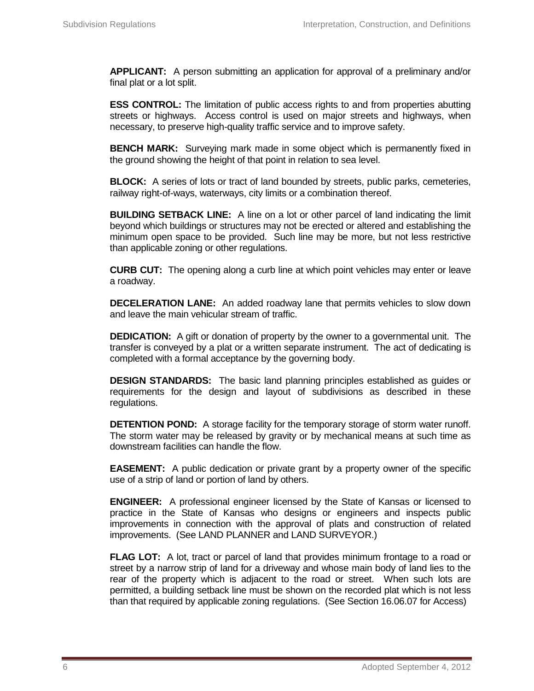**APPLICANT:** A person submitting an application for approval of a preliminary and/or final plat or a lot split.

**ESS CONTROL:** The limitation of public access rights to and from properties abutting streets or highways. Access control is used on major streets and highways, when necessary, to preserve high-quality traffic service and to improve safety.

**BENCH MARK:** Surveying mark made in some object which is permanently fixed in the ground showing the height of that point in relation to sea level.

**BLOCK:** A series of lots or tract of land bounded by streets, public parks, cemeteries, railway right-of-ways, waterways, city limits or a combination thereof.

**BUILDING SETBACK LINE:** A line on a lot or other parcel of land indicating the limit beyond which buildings or structures may not be erected or altered and establishing the minimum open space to be provided. Such line may be more, but not less restrictive than applicable zoning or other regulations.

**CURB CUT:** The opening along a curb line at which point vehicles may enter or leave a roadway.

**DECELERATION LANE:** An added roadway lane that permits vehicles to slow down and leave the main vehicular stream of traffic.

**DEDICATION:** A gift or donation of property by the owner to a governmental unit. The transfer is conveyed by a plat or a written separate instrument. The act of dedicating is completed with a formal acceptance by the governing body.

**DESIGN STANDARDS:** The basic land planning principles established as guides or requirements for the design and layout of subdivisions as described in these regulations.

**DETENTION POND:** A storage facility for the temporary storage of storm water runoff. The storm water may be released by gravity or by mechanical means at such time as downstream facilities can handle the flow.

**EASEMENT:** A public dedication or private grant by a property owner of the specific use of a strip of land or portion of land by others.

**ENGINEER:** A professional engineer licensed by the State of Kansas or licensed to practice in the State of Kansas who designs or engineers and inspects public improvements in connection with the approval of plats and construction of related improvements. (See LAND PLANNER and LAND SURVEYOR.)

**FLAG LOT:** A lot, tract or parcel of land that provides minimum frontage to a road or street by a narrow strip of land for a driveway and whose main body of land lies to the rear of the property which is adjacent to the road or street. When such lots are permitted, a building setback line must be shown on the recorded plat which is not less than that required by applicable zoning regulations. (See Section 16.06.07 for Access)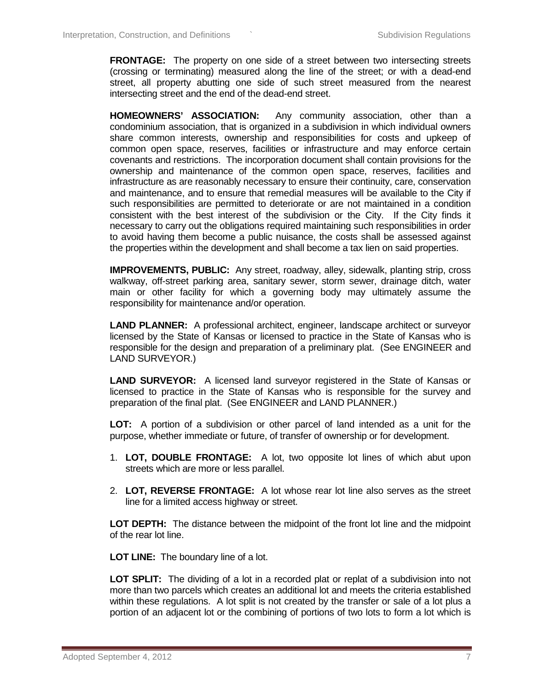**FRONTAGE:** The property on one side of a street between two intersecting streets (crossing or terminating) measured along the line of the street; or with a dead-end street, all property abutting one side of such street measured from the nearest intersecting street and the end of the dead-end street.

**HOMEOWNERS' ASSOCIATION:** Any community association, other than a condominium association, that is organized in a subdivision in which individual owners share common interests, ownership and responsibilities for costs and upkeep of common open space, reserves, facilities or infrastructure and may enforce certain covenants and restrictions. The incorporation document shall contain provisions for the ownership and maintenance of the common open space, reserves, facilities and infrastructure as are reasonably necessary to ensure their continuity, care, conservation and maintenance, and to ensure that remedial measures will be available to the City if such responsibilities are permitted to deteriorate or are not maintained in a condition consistent with the best interest of the subdivision or the City. If the City finds it necessary to carry out the obligations required maintaining such responsibilities in order to avoid having them become a public nuisance, the costs shall be assessed against the properties within the development and shall become a tax lien on said properties.

**IMPROVEMENTS, PUBLIC:** Any street, roadway, alley, sidewalk, planting strip, cross walkway, off-street parking area, sanitary sewer, storm sewer, drainage ditch, water main or other facility for which a governing body may ultimately assume the responsibility for maintenance and/or operation.

**LAND PLANNER:** A professional architect, engineer, landscape architect or surveyor licensed by the State of Kansas or licensed to practice in the State of Kansas who is responsible for the design and preparation of a preliminary plat. (See ENGINEER and LAND SURVEYOR.)

**LAND SURVEYOR:** A licensed land surveyor registered in the State of Kansas or licensed to practice in the State of Kansas who is responsible for the survey and preparation of the final plat. (See ENGINEER and LAND PLANNER.)

**LOT:** A portion of a subdivision or other parcel of land intended as a unit for the purpose, whether immediate or future, of transfer of ownership or for development.

- 1. **LOT, DOUBLE FRONTAGE:** A lot, two opposite lot lines of which abut upon streets which are more or less parallel.
- 2. **LOT, REVERSE FRONTAGE:** A lot whose rear lot line also serves as the street line for a limited access highway or street.

**LOT DEPTH:** The distance between the midpoint of the front lot line and the midpoint of the rear lot line.

**LOT LINE:** The boundary line of a lot.

**LOT SPLIT:** The dividing of a lot in a recorded plat or replat of a subdivision into not more than two parcels which creates an additional lot and meets the criteria established within these regulations. A lot split is not created by the transfer or sale of a lot plus a portion of an adjacent lot or the combining of portions of two lots to form a lot which is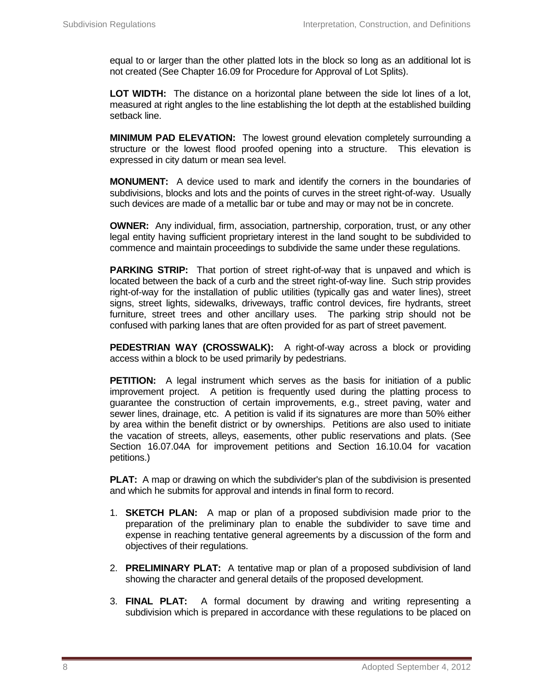equal to or larger than the other platted lots in the block so long as an additional lot is not created (See Chapter 16.09 for Procedure for Approval of Lot Splits).

**LOT WIDTH:** The distance on a horizontal plane between the side lot lines of a lot, measured at right angles to the line establishing the lot depth at the established building setback line.

**MINIMUM PAD ELEVATION:** The lowest ground elevation completely surrounding a structure or the lowest flood proofed opening into a structure. This elevation is expressed in city datum or mean sea level.

**MONUMENT:** A device used to mark and identify the corners in the boundaries of subdivisions, blocks and lots and the points of curves in the street right-of-way. Usually such devices are made of a metallic bar or tube and may or may not be in concrete.

**OWNER:** Any individual, firm, association, partnership, corporation, trust, or any other legal entity having sufficient proprietary interest in the land sought to be subdivided to commence and maintain proceedings to subdivide the same under these regulations.

**PARKING STRIP:** That portion of street right-of-way that is unpaved and which is located between the back of a curb and the street right-of-way line. Such strip provides right-of-way for the installation of public utilities (typically gas and water lines), street signs, street lights, sidewalks, driveways, traffic control devices, fire hydrants, street furniture, street trees and other ancillary uses. The parking strip should not be confused with parking lanes that are often provided for as part of street pavement.

**PEDESTRIAN WAY (CROSSWALK):** A right-of-way across a block or providing access within a block to be used primarily by pedestrians.

**PETITION:** A legal instrument which serves as the basis for initiation of a public improvement project. A petition is frequently used during the platting process to guarantee the construction of certain improvements, e.g., street paving, water and sewer lines, drainage, etc. A petition is valid if its signatures are more than 50% either by area within the benefit district or by ownerships. Petitions are also used to initiate the vacation of streets, alleys, easements, other public reservations and plats. (See Section 16.07.04A for improvement petitions and Section 16.10.04 for vacation petitions.)

**PLAT:** A map or drawing on which the subdivider's plan of the subdivision is presented and which he submits for approval and intends in final form to record.

- 1. **SKETCH PLAN:** A map or plan of a proposed subdivision made prior to the preparation of the preliminary plan to enable the subdivider to save time and expense in reaching tentative general agreements by a discussion of the form and objectives of their regulations.
- 2. **PRELIMINARY PLAT:** A tentative map or plan of a proposed subdivision of land showing the character and general details of the proposed development.
- 3. **FINAL PLAT:** A formal document by drawing and writing representing a subdivision which is prepared in accordance with these regulations to be placed on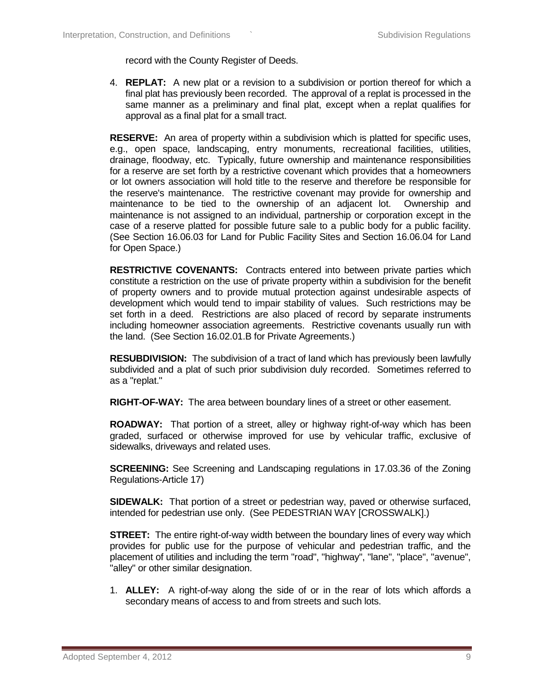record with the County Register of Deeds.

4. **REPLAT:** A new plat or a revision to a subdivision or portion thereof for which a final plat has previously been recorded. The approval of a replat is processed in the same manner as a preliminary and final plat, except when a replat qualifies for approval as a final plat for a small tract.

**RESERVE:** An area of property within a subdivision which is platted for specific uses, e.g., open space, landscaping, entry monuments, recreational facilities, utilities, drainage, floodway, etc. Typically, future ownership and maintenance responsibilities for a reserve are set forth by a restrictive covenant which provides that a homeowners or lot owners association will hold title to the reserve and therefore be responsible for the reserve's maintenance. The restrictive covenant may provide for ownership and maintenance to be tied to the ownership of an adjacent lot. Ownership and maintenance is not assigned to an individual, partnership or corporation except in the case of a reserve platted for possible future sale to a public body for a public facility. (See Section 16.06.03 for Land for Public Facility Sites and Section 16.06.04 for Land for Open Space.)

**RESTRICTIVE COVENANTS:** Contracts entered into between private parties which constitute a restriction on the use of private property within a subdivision for the benefit of property owners and to provide mutual protection against undesirable aspects of development which would tend to impair stability of values. Such restrictions may be set forth in a deed. Restrictions are also placed of record by separate instruments including homeowner association agreements. Restrictive covenants usually run with the land. (See Section 16.02.01.B for Private Agreements.)

**RESUBDIVISION:** The subdivision of a tract of land which has previously been lawfully subdivided and a plat of such prior subdivision duly recorded. Sometimes referred to as a "replat."

**RIGHT-OF-WAY:** The area between boundary lines of a street or other easement.

**ROADWAY:** That portion of a street, alley or highway right-of-way which has been graded, surfaced or otherwise improved for use by vehicular traffic, exclusive of sidewalks, driveways and related uses.

**SCREENING:** See Screening and Landscaping regulations in 17.03.36 of the Zoning Regulations-Article 17)

**SIDEWALK:** That portion of a street or pedestrian way, paved or otherwise surfaced, intended for pedestrian use only. (See PEDESTRIAN WAY [CROSSWALK].)

**STREET:** The entire right-of-way width between the boundary lines of every way which provides for public use for the purpose of vehicular and pedestrian traffic, and the placement of utilities and including the term "road", "highway", "lane", "place", "avenue", "alley" or other similar designation.

1. **ALLEY:** A right-of-way along the side of or in the rear of lots which affords a secondary means of access to and from streets and such lots.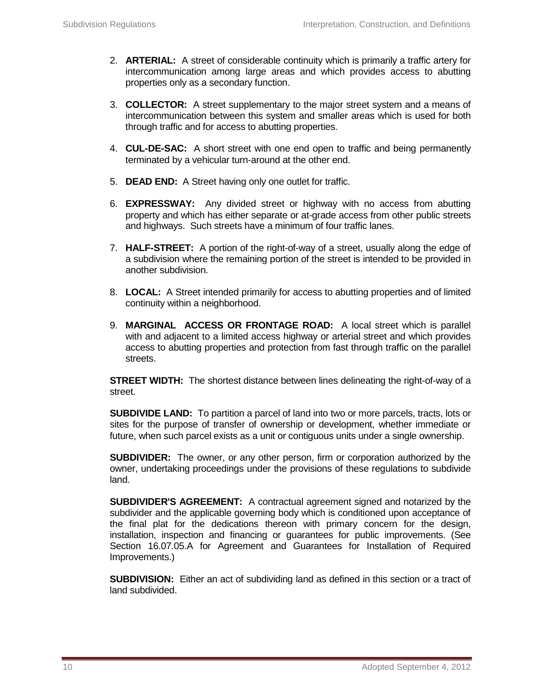- 2. **ARTERIAL:** A street of considerable continuity which is primarily a traffic artery for intercommunication among large areas and which provides access to abutting properties only as a secondary function.
- 3. **COLLECTOR:** A street supplementary to the major street system and a means of intercommunication between this system and smaller areas which is used for both through traffic and for access to abutting properties.
- 4. **CUL-DE-SAC:** A short street with one end open to traffic and being permanently terminated by a vehicular turn-around at the other end.
- 5. **DEAD END:** A Street having only one outlet for traffic.
- 6. **EXPRESSWAY:** Any divided street or highway with no access from abutting property and which has either separate or at-grade access from other public streets and highways. Such streets have a minimum of four traffic lanes.
- 7. **HALF-STREET:** A portion of the right-of-way of a street, usually along the edge of a subdivision where the remaining portion of the street is intended to be provided in another subdivision.
- 8. **LOCAL:** A Street intended primarily for access to abutting properties and of limited continuity within a neighborhood.
- 9. **MARGINAL ACCESS OR FRONTAGE ROAD:** A local street which is parallel with and adjacent to a limited access highway or arterial street and which provides access to abutting properties and protection from fast through traffic on the parallel streets.

**STREET WIDTH:** The shortest distance between lines delineating the right-of-way of a street.

**SUBDIVIDE LAND:** To partition a parcel of land into two or more parcels, tracts, lots or sites for the purpose of transfer of ownership or development, whether immediate or future, when such parcel exists as a unit or contiguous units under a single ownership.

**SUBDIVIDER:** The owner, or any other person, firm or corporation authorized by the owner, undertaking proceedings under the provisions of these regulations to subdivide land.

**SUBDIVIDER'S AGREEMENT:** A contractual agreement signed and notarized by the subdivider and the applicable governing body which is conditioned upon acceptance of the final plat for the dedications thereon with primary concern for the design, installation, inspection and financing or guarantees for public improvements. (See Section 16.07.05.A for Agreement and Guarantees for Installation of Required Improvements.)

**SUBDIVISION:** Either an act of subdividing land as defined in this section or a tract of land subdivided.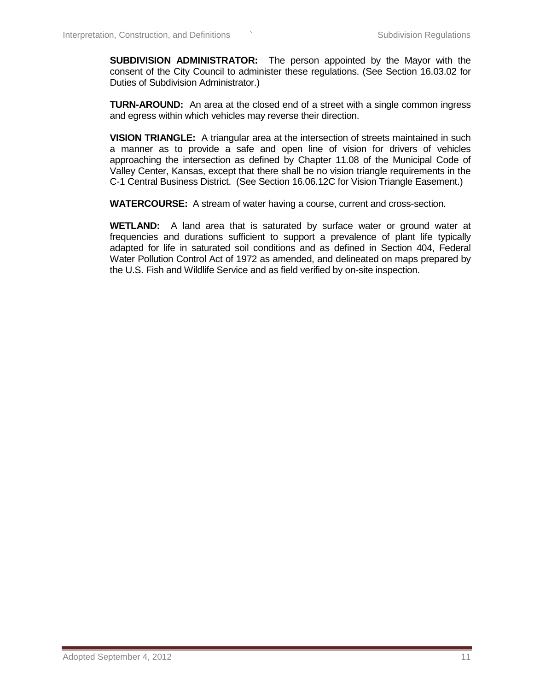**SUBDIVISION ADMINISTRATOR:** The person appointed by the Mayor with the consent of the City Council to administer these regulations. (See Section 16.03.02 for Duties of Subdivision Administrator.)

**TURN-AROUND:** An area at the closed end of a street with a single common ingress and egress within which vehicles may reverse their direction.

**VISION TRIANGLE:** A triangular area at the intersection of streets maintained in such a manner as to provide a safe and open line of vision for drivers of vehicles approaching the intersection as defined by Chapter 11.08 of the Municipal Code of Valley Center, Kansas, except that there shall be no vision triangle requirements in the C-1 Central Business District. (See Section 16.06.12C for Vision Triangle Easement.)

**WATERCOURSE:** A stream of water having a course, current and cross-section.

**WETLAND:** A land area that is saturated by surface water or ground water at frequencies and durations sufficient to support a prevalence of plant life typically adapted for life in saturated soil conditions and as defined in Section 404, Federal Water Pollution Control Act of 1972 as amended, and delineated on maps prepared by the U.S. Fish and Wildlife Service and as field verified by on-site inspection.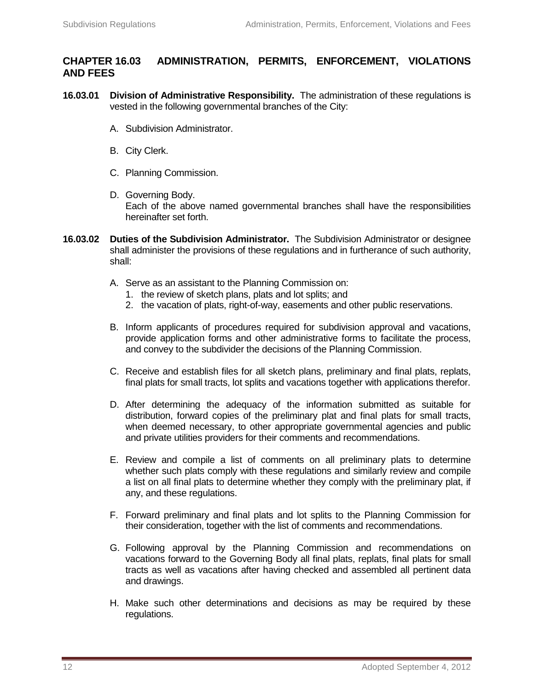## **CHAPTER 16.03 ADMINISTRATION, PERMITS, ENFORCEMENT, VIOLATIONS AND FEES**

- **16.03.01 Division of Administrative Responsibility.** The administration of these regulations is vested in the following governmental branches of the City:
	- A. Subdivision Administrator.
	- B. City Clerk.
	- C. Planning Commission.
	- D. Governing Body. Each of the above named governmental branches shall have the responsibilities hereinafter set forth.
- **16.03.02 Duties of the Subdivision Administrator.** The Subdivision Administrator or designee shall administer the provisions of these regulations and in furtherance of such authority, shall:
	- A. Serve as an assistant to the Planning Commission on:
		- 1. the review of sketch plans, plats and lot splits; and
		- 2. the vacation of plats, right-of-way, easements and other public reservations.
	- B. Inform applicants of procedures required for subdivision approval and vacations, provide application forms and other administrative forms to facilitate the process, and convey to the subdivider the decisions of the Planning Commission.
	- C. Receive and establish files for all sketch plans, preliminary and final plats, replats, final plats for small tracts, lot splits and vacations together with applications therefor.
	- D. After determining the adequacy of the information submitted as suitable for distribution, forward copies of the preliminary plat and final plats for small tracts, when deemed necessary, to other appropriate governmental agencies and public and private utilities providers for their comments and recommendations.
	- E. Review and compile a list of comments on all preliminary plats to determine whether such plats comply with these regulations and similarly review and compile a list on all final plats to determine whether they comply with the preliminary plat, if any, and these regulations.
	- F. Forward preliminary and final plats and lot splits to the Planning Commission for their consideration, together with the list of comments and recommendations.
	- G. Following approval by the Planning Commission and recommendations on vacations forward to the Governing Body all final plats, replats, final plats for small tracts as well as vacations after having checked and assembled all pertinent data and drawings.
	- H. Make such other determinations and decisions as may be required by these regulations.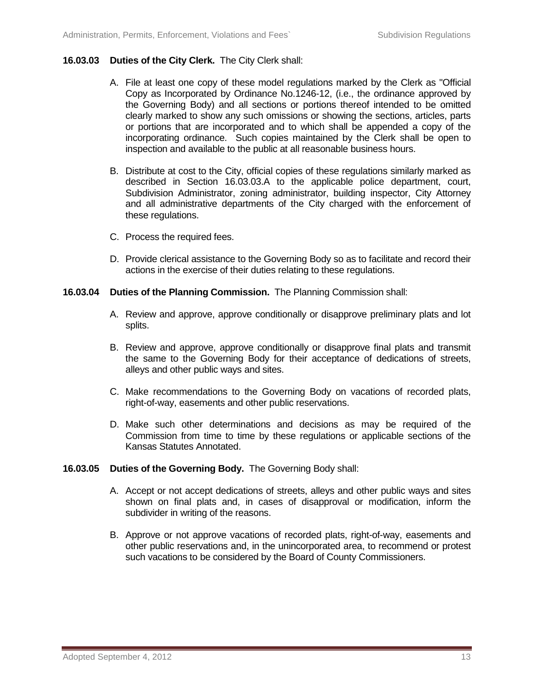#### **16.03.03 Duties of the City Clerk.** The City Clerk shall:

- A. File at least one copy of these model regulations marked by the Clerk as "Official Copy as Incorporated by Ordinance No.1246-12, (i.e., the ordinance approved by the Governing Body) and all sections or portions thereof intended to be omitted clearly marked to show any such omissions or showing the sections, articles, parts or portions that are incorporated and to which shall be appended a copy of the incorporating ordinance. Such copies maintained by the Clerk shall be open to inspection and available to the public at all reasonable business hours.
- B. Distribute at cost to the City, official copies of these regulations similarly marked as described in Section 16.03.03.A to the applicable police department, court, Subdivision Administrator, zoning administrator, building inspector, City Attorney and all administrative departments of the City charged with the enforcement of these regulations.
- C. Process the required fees.
- D. Provide clerical assistance to the Governing Body so as to facilitate and record their actions in the exercise of their duties relating to these regulations.
- **16.03.04 Duties of the Planning Commission.** The Planning Commission shall:
	- A. Review and approve, approve conditionally or disapprove preliminary plats and lot splits.
	- B. Review and approve, approve conditionally or disapprove final plats and transmit the same to the Governing Body for their acceptance of dedications of streets, alleys and other public ways and sites.
	- C. Make recommendations to the Governing Body on vacations of recorded plats, right-of-way, easements and other public reservations.
	- D. Make such other determinations and decisions as may be required of the Commission from time to time by these regulations or applicable sections of the Kansas Statutes Annotated.

#### **16.03.05 Duties of the Governing Body.** The Governing Body shall:

- A. Accept or not accept dedications of streets, alleys and other public ways and sites shown on final plats and, in cases of disapproval or modification, inform the subdivider in writing of the reasons.
- B. Approve or not approve vacations of recorded plats, right-of-way, easements and other public reservations and, in the unincorporated area, to recommend or protest such vacations to be considered by the Board of County Commissioners.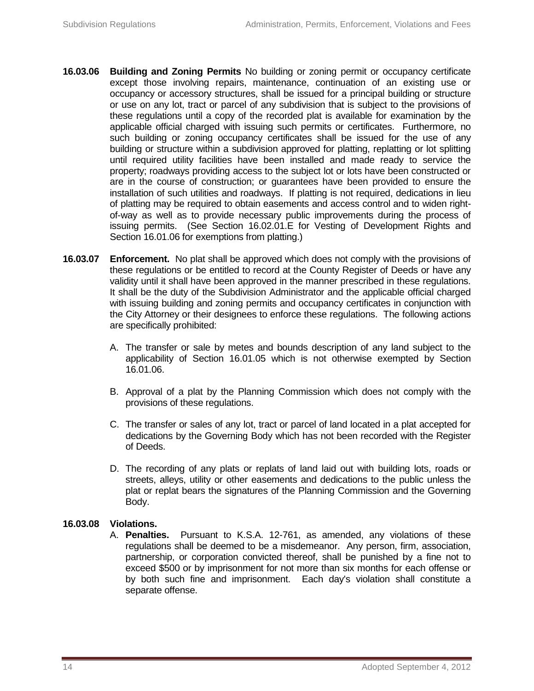- **16.03.06 Building and Zoning Permits** No building or zoning permit or occupancy certificate except those involving repairs, maintenance, continuation of an existing use or occupancy or accessory structures, shall be issued for a principal building or structure or use on any lot, tract or parcel of any subdivision that is subject to the provisions of these regulations until a copy of the recorded plat is available for examination by the applicable official charged with issuing such permits or certificates. Furthermore, no such building or zoning occupancy certificates shall be issued for the use of any building or structure within a subdivision approved for platting, replatting or lot splitting until required utility facilities have been installed and made ready to service the property; roadways providing access to the subject lot or lots have been constructed or are in the course of construction; or guarantees have been provided to ensure the installation of such utilities and roadways. If platting is not required, dedications in lieu of platting may be required to obtain easements and access control and to widen rightof-way as well as to provide necessary public improvements during the process of issuing permits. (See Section 16.02.01.E for Vesting of Development Rights and Section 16.01.06 for exemptions from platting.)
- **16.03.07 Enforcement.** No plat shall be approved which does not comply with the provisions of these regulations or be entitled to record at the County Register of Deeds or have any validity until it shall have been approved in the manner prescribed in these regulations. It shall be the duty of the Subdivision Administrator and the applicable official charged with issuing building and zoning permits and occupancy certificates in conjunction with the City Attorney or their designees to enforce these regulations. The following actions are specifically prohibited:
	- A. The transfer or sale by metes and bounds description of any land subject to the applicability of Section 16.01.05 which is not otherwise exempted by Section 16.01.06.
	- B. Approval of a plat by the Planning Commission which does not comply with the provisions of these regulations.
	- C. The transfer or sales of any lot, tract or parcel of land located in a plat accepted for dedications by the Governing Body which has not been recorded with the Register of Deeds.
	- D. The recording of any plats or replats of land laid out with building lots, roads or streets, alleys, utility or other easements and dedications to the public unless the plat or replat bears the signatures of the Planning Commission and the Governing Body.

## **16.03.08 Violations.**

A. **Penalties.** Pursuant to K.S.A. 12-761, as amended, any violations of these regulations shall be deemed to be a misdemeanor. Any person, firm, association, partnership, or corporation convicted thereof, shall be punished by a fine not to exceed \$500 or by imprisonment for not more than six months for each offense or by both such fine and imprisonment. Each day's violation shall constitute a separate offense.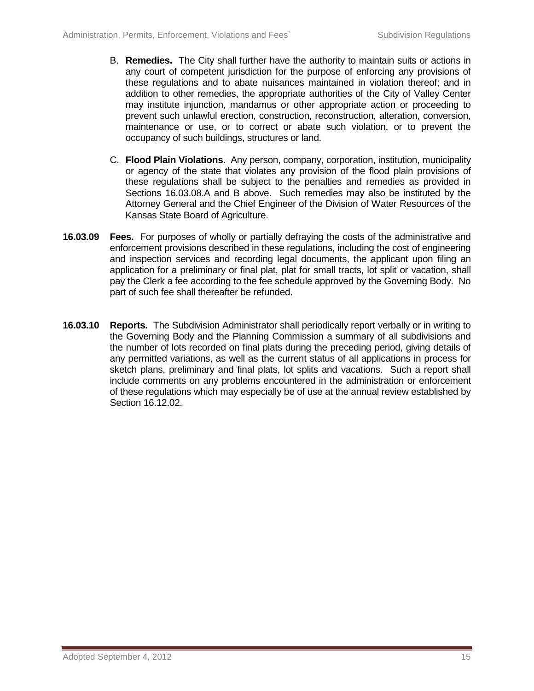- B. **Remedies.** The City shall further have the authority to maintain suits or actions in any court of competent jurisdiction for the purpose of enforcing any provisions of these regulations and to abate nuisances maintained in violation thereof; and in addition to other remedies, the appropriate authorities of the City of Valley Center may institute injunction, mandamus or other appropriate action or proceeding to prevent such unlawful erection, construction, reconstruction, alteration, conversion, maintenance or use, or to correct or abate such violation, or to prevent the occupancy of such buildings, structures or land.
- C. **Flood Plain Violations.** Any person, company, corporation, institution, municipality or agency of the state that violates any provision of the flood plain provisions of these regulations shall be subject to the penalties and remedies as provided in Sections 16.03.08.A and B above. Such remedies may also be instituted by the Attorney General and the Chief Engineer of the Division of Water Resources of the Kansas State Board of Agriculture.
- **16.03.09 Fees.** For purposes of wholly or partially defraying the costs of the administrative and enforcement provisions described in these regulations, including the cost of engineering and inspection services and recording legal documents, the applicant upon filing an application for a preliminary or final plat, plat for small tracts, lot split or vacation, shall pay the Clerk a fee according to the fee schedule approved by the Governing Body. No part of such fee shall thereafter be refunded.
- **16.03.10 Reports.** The Subdivision Administrator shall periodically report verbally or in writing to the Governing Body and the Planning Commission a summary of all subdivisions and the number of lots recorded on final plats during the preceding period, giving details of any permitted variations, as well as the current status of all applications in process for sketch plans, preliminary and final plats, lot splits and vacations. Such a report shall include comments on any problems encountered in the administration or enforcement of these regulations which may especially be of use at the annual review established by Section 16.12.02.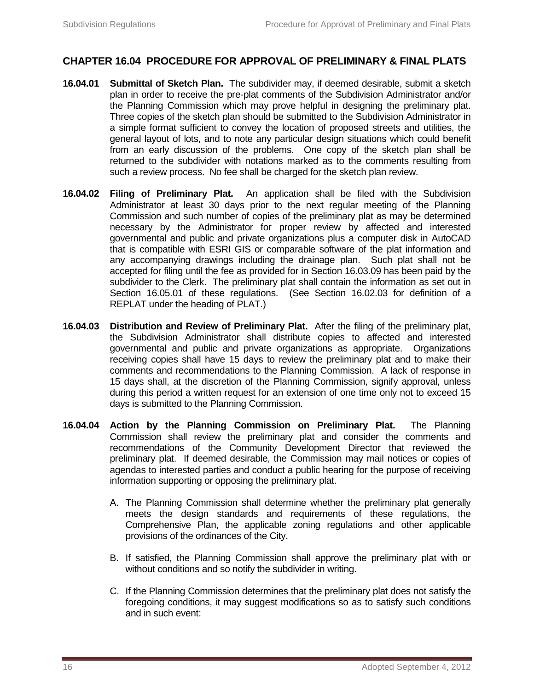# **CHAPTER 16.04 PROCEDURE FOR APPROVAL OF PRELIMINARY & FINAL PLATS**

- **16.04.01 Submittal of Sketch Plan.** The subdivider may, if deemed desirable, submit a sketch plan in order to receive the pre-plat comments of the Subdivision Administrator and/or the Planning Commission which may prove helpful in designing the preliminary plat. Three copies of the sketch plan should be submitted to the Subdivision Administrator in a simple format sufficient to convey the location of proposed streets and utilities, the general layout of lots, and to note any particular design situations which could benefit from an early discussion of the problems. One copy of the sketch plan shall be returned to the subdivider with notations marked as to the comments resulting from such a review process. No fee shall be charged for the sketch plan review.
- **16.04.02 Filing of Preliminary Plat.** An application shall be filed with the Subdivision Administrator at least 30 days prior to the next regular meeting of the Planning Commission and such number of copies of the preliminary plat as may be determined necessary by the Administrator for proper review by affected and interested governmental and public and private organizations plus a computer disk in AutoCAD that is compatible with ESRI GIS or comparable software of the plat information and any accompanying drawings including the drainage plan. Such plat shall not be accepted for filing until the fee as provided for in Section 16.03.09 has been paid by the subdivider to the Clerk. The preliminary plat shall contain the information as set out in Section 16.05.01 of these regulations. (See Section 16.02.03 for definition of a REPLAT under the heading of PLAT.)
- **16.04.03 Distribution and Review of Preliminary Plat.** After the filing of the preliminary plat, the Subdivision Administrator shall distribute copies to affected and interested governmental and public and private organizations as appropriate. Organizations receiving copies shall have 15 days to review the preliminary plat and to make their comments and recommendations to the Planning Commission. A lack of response in 15 days shall, at the discretion of the Planning Commission, signify approval, unless during this period a written request for an extension of one time only not to exceed 15 days is submitted to the Planning Commission.
- **16.04.04 Action by the Planning Commission on Preliminary Plat.** The Planning Commission shall review the preliminary plat and consider the comments and recommendations of the Community Development Director that reviewed the preliminary plat. If deemed desirable, the Commission may mail notices or copies of agendas to interested parties and conduct a public hearing for the purpose of receiving information supporting or opposing the preliminary plat.
	- A. The Planning Commission shall determine whether the preliminary plat generally meets the design standards and requirements of these regulations, the Comprehensive Plan, the applicable zoning regulations and other applicable provisions of the ordinances of the City.
	- B. If satisfied, the Planning Commission shall approve the preliminary plat with or without conditions and so notify the subdivider in writing.
	- C. If the Planning Commission determines that the preliminary plat does not satisfy the foregoing conditions, it may suggest modifications so as to satisfy such conditions and in such event: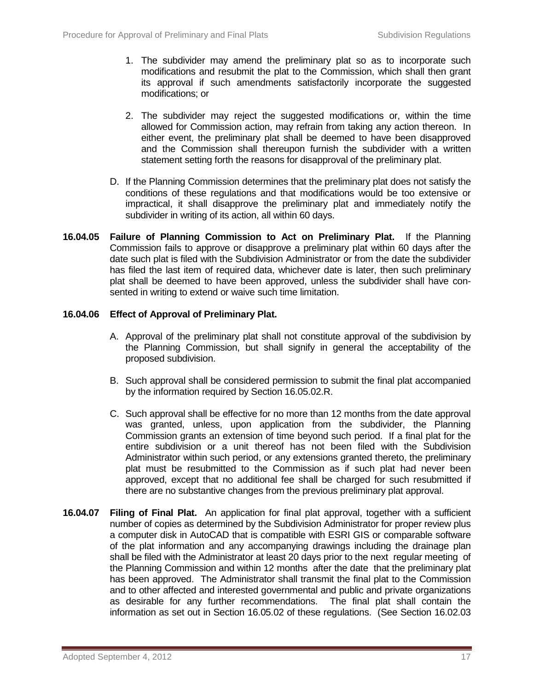- 1. The subdivider may amend the preliminary plat so as to incorporate such modifications and resubmit the plat to the Commission, which shall then grant its approval if such amendments satisfactorily incorporate the suggested modifications; or
- 2. The subdivider may reject the suggested modifications or, within the time allowed for Commission action, may refrain from taking any action thereon. In either event, the preliminary plat shall be deemed to have been disapproved and the Commission shall thereupon furnish the subdivider with a written statement setting forth the reasons for disapproval of the preliminary plat.
- D. If the Planning Commission determines that the preliminary plat does not satisfy the conditions of these regulations and that modifications would be too extensive or impractical, it shall disapprove the preliminary plat and immediately notify the subdivider in writing of its action, all within 60 days.
- **16.04.05 Failure of Planning Commission to Act on Preliminary Plat.** If the Planning Commission fails to approve or disapprove a preliminary plat within 60 days after the date such plat is filed with the Subdivision Administrator or from the date the subdivider has filed the last item of required data, whichever date is later, then such preliminary plat shall be deemed to have been approved, unless the subdivider shall have consented in writing to extend or waive such time limitation.

#### **16.04.06 Effect of Approval of Preliminary Plat.**

- A. Approval of the preliminary plat shall not constitute approval of the subdivision by the Planning Commission, but shall signify in general the acceptability of the proposed subdivision.
- B. Such approval shall be considered permission to submit the final plat accompanied by the information required by Section 16.05.02.R.
- C. Such approval shall be effective for no more than 12 months from the date approval was granted, unless, upon application from the subdivider, the Planning Commission grants an extension of time beyond such period. If a final plat for the entire subdivision or a unit thereof has not been filed with the Subdivision Administrator within such period, or any extensions granted thereto, the preliminary plat must be resubmitted to the Commission as if such plat had never been approved, except that no additional fee shall be charged for such resubmitted if there are no substantive changes from the previous preliminary plat approval.
- **16.04.07 Filing of Final Plat.** An application for final plat approval, together with a sufficient number of copies as determined by the Subdivision Administrator for proper review plus a computer disk in AutoCAD that is compatible with ESRI GIS or comparable software of the plat information and any accompanying drawings including the drainage plan shall be filed with the Administrator at least 20 days prior to the next regular meeting of the Planning Commission and within 12 months after the date that the preliminary plat has been approved. The Administrator shall transmit the final plat to the Commission and to other affected and interested governmental and public and private organizations as desirable for any further recommendations. The final plat shall contain the information as set out in Section 16.05.02 of these regulations. (See Section 16.02.03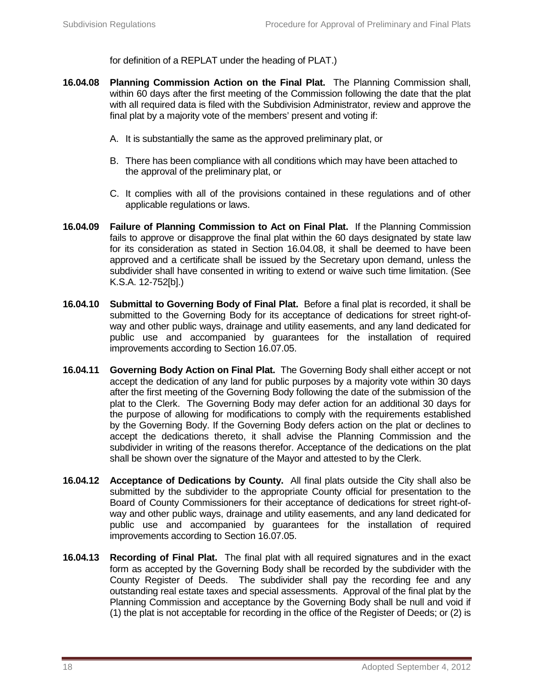for definition of a REPLAT under the heading of PLAT.)

- **16.04.08 Planning Commission Action on the Final Plat.** The Planning Commission shall, within 60 days after the first meeting of the Commission following the date that the plat with all required data is filed with the Subdivision Administrator, review and approve the final plat by a majority vote of the members' present and voting if:
	- A. It is substantially the same as the approved preliminary plat, or
	- B. There has been compliance with all conditions which may have been attached to the approval of the preliminary plat, or
	- C. It complies with all of the provisions contained in these regulations and of other applicable regulations or laws.
- **16.04.09 Failure of Planning Commission to Act on Final Plat.** If the Planning Commission fails to approve or disapprove the final plat within the 60 days designated by state law for its consideration as stated in Section 16.04.08, it shall be deemed to have been approved and a certificate shall be issued by the Secretary upon demand, unless the subdivider shall have consented in writing to extend or waive such time limitation. (See K.S.A. 12-752[b].)
- **16.04.10 Submittal to Governing Body of Final Plat.** Before a final plat is recorded, it shall be submitted to the Governing Body for its acceptance of dedications for street right-ofway and other public ways, drainage and utility easements, and any land dedicated for public use and accompanied by guarantees for the installation of required improvements according to Section 16.07.05.
- **16.04.11 Governing Body Action on Final Plat.** The Governing Body shall either accept or not accept the dedication of any land for public purposes by a majority vote within 30 days after the first meeting of the Governing Body following the date of the submission of the plat to the Clerk. The Governing Body may defer action for an additional 30 days for the purpose of allowing for modifications to comply with the requirements established by the Governing Body. If the Governing Body defers action on the plat or declines to accept the dedications thereto, it shall advise the Planning Commission and the subdivider in writing of the reasons therefor. Acceptance of the dedications on the plat shall be shown over the signature of the Mayor and attested to by the Clerk.
- **16.04.12 Acceptance of Dedications by County.** All final plats outside the City shall also be submitted by the subdivider to the appropriate County official for presentation to the Board of County Commissioners for their acceptance of dedications for street right-ofway and other public ways, drainage and utility easements, and any land dedicated for public use and accompanied by guarantees for the installation of required improvements according to Section 16.07.05.
- **16.04.13 Recording of Final Plat.** The final plat with all required signatures and in the exact form as accepted by the Governing Body shall be recorded by the subdivider with the County Register of Deeds. The subdivider shall pay the recording fee and any outstanding real estate taxes and special assessments. Approval of the final plat by the Planning Commission and acceptance by the Governing Body shall be null and void if (1) the plat is not acceptable for recording in the office of the Register of Deeds; or (2) is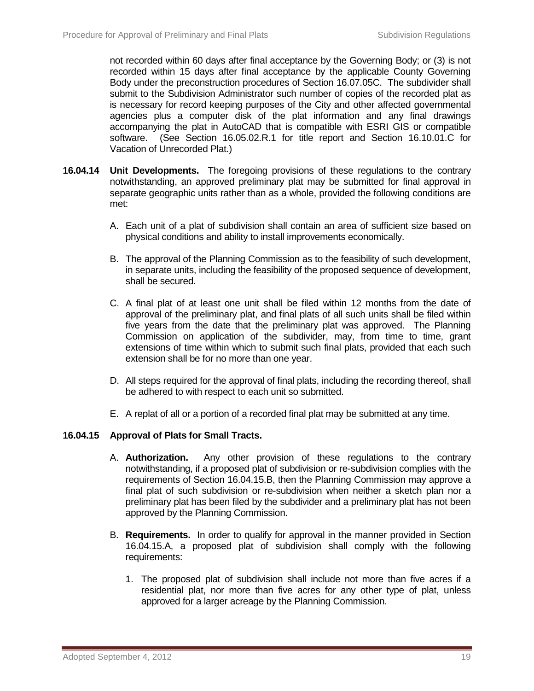not recorded within 60 days after final acceptance by the Governing Body; or (3) is not recorded within 15 days after final acceptance by the applicable County Governing Body under the preconstruction procedures of Section 16.07.05C. The subdivider shall submit to the Subdivision Administrator such number of copies of the recorded plat as is necessary for record keeping purposes of the City and other affected governmental agencies plus a computer disk of the plat information and any final drawings accompanying the plat in AutoCAD that is compatible with ESRI GIS or compatible software. (See Section 16.05.02.R.1 for title report and Section 16.10.01.C for Vacation of Unrecorded Plat.)

- **16.04.14 Unit Developments.** The foregoing provisions of these regulations to the contrary notwithstanding, an approved preliminary plat may be submitted for final approval in separate geographic units rather than as a whole, provided the following conditions are met:
	- A. Each unit of a plat of subdivision shall contain an area of sufficient size based on physical conditions and ability to install improvements economically.
	- B. The approval of the Planning Commission as to the feasibility of such development, in separate units, including the feasibility of the proposed sequence of development, shall be secured.
	- C. A final plat of at least one unit shall be filed within 12 months from the date of approval of the preliminary plat, and final plats of all such units shall be filed within five years from the date that the preliminary plat was approved. The Planning Commission on application of the subdivider, may, from time to time, grant extensions of time within which to submit such final plats, provided that each such extension shall be for no more than one year.
	- D. All steps required for the approval of final plats, including the recording thereof, shall be adhered to with respect to each unit so submitted.
	- E. A replat of all or a portion of a recorded final plat may be submitted at any time.

## **16.04.15 Approval of Plats for Small Tracts.**

- A. **Authorization.** Any other provision of these regulations to the contrary notwithstanding, if a proposed plat of subdivision or re-subdivision complies with the requirements of Section 16.04.15.B, then the Planning Commission may approve a final plat of such subdivision or re-subdivision when neither a sketch plan nor a preliminary plat has been filed by the subdivider and a preliminary plat has not been approved by the Planning Commission.
- B. **Requirements.** In order to qualify for approval in the manner provided in Section 16.04.15.A, a proposed plat of subdivision shall comply with the following requirements:
	- 1. The proposed plat of subdivision shall include not more than five acres if a residential plat, nor more than five acres for any other type of plat, unless approved for a larger acreage by the Planning Commission.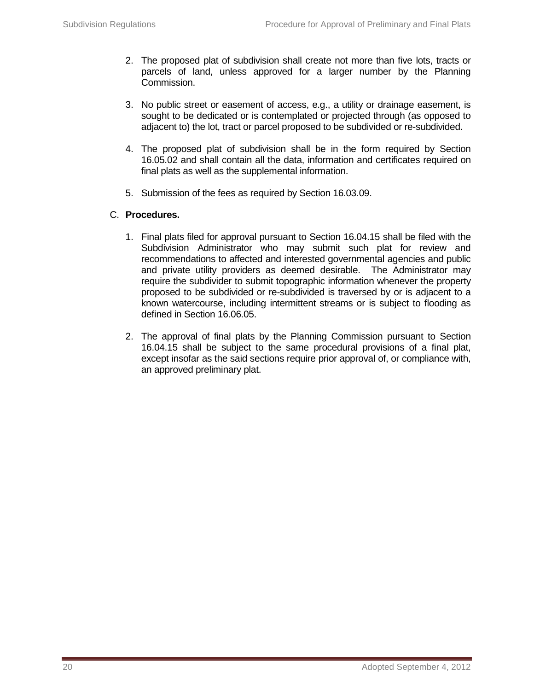- 2. The proposed plat of subdivision shall create not more than five lots, tracts or parcels of land, unless approved for a larger number by the Planning Commission.
- 3. No public street or easement of access, e.g., a utility or drainage easement, is sought to be dedicated or is contemplated or projected through (as opposed to adjacent to) the lot, tract or parcel proposed to be subdivided or re-subdivided.
- 4. The proposed plat of subdivision shall be in the form required by Section 16.05.02 and shall contain all the data, information and certificates required on final plats as well as the supplemental information.
- 5. Submission of the fees as required by Section 16.03.09.

## C. **Procedures.**

- 1. Final plats filed for approval pursuant to Section 16.04.15 shall be filed with the Subdivision Administrator who may submit such plat for review and recommendations to affected and interested governmental agencies and public and private utility providers as deemed desirable. The Administrator may require the subdivider to submit topographic information whenever the property proposed to be subdivided or re-subdivided is traversed by or is adjacent to a known watercourse, including intermittent streams or is subject to flooding as defined in Section 16.06.05.
- 2. The approval of final plats by the Planning Commission pursuant to Section 16.04.15 shall be subject to the same procedural provisions of a final plat, except insofar as the said sections require prior approval of, or compliance with, an approved preliminary plat.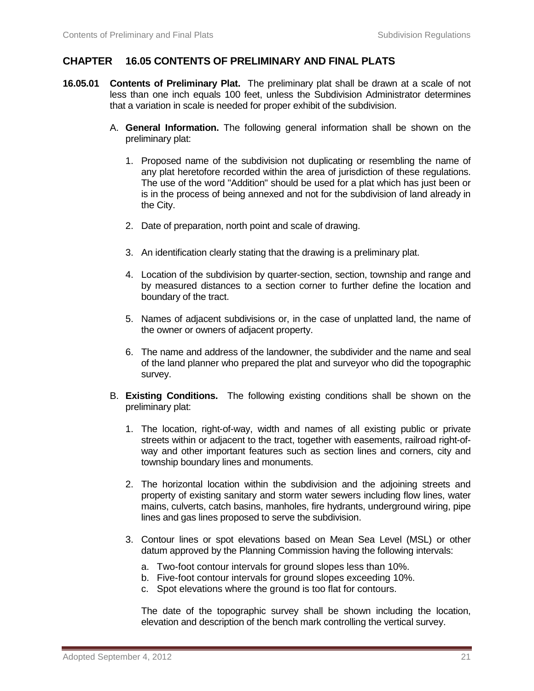## **CHAPTER 16.05 CONTENTS OF PRELIMINARY AND FINAL PLATS**

- **16.05.01 Contents of Preliminary Plat.** The preliminary plat shall be drawn at a scale of not less than one inch equals 100 feet, unless the Subdivision Administrator determines that a variation in scale is needed for proper exhibit of the subdivision.
	- A. **General Information.** The following general information shall be shown on the preliminary plat:
		- 1. Proposed name of the subdivision not duplicating or resembling the name of any plat heretofore recorded within the area of jurisdiction of these regulations. The use of the word "Addition" should be used for a plat which has just been or is in the process of being annexed and not for the subdivision of land already in the City.
		- 2. Date of preparation, north point and scale of drawing.
		- 3. An identification clearly stating that the drawing is a preliminary plat.
		- 4. Location of the subdivision by quarter-section, section, township and range and by measured distances to a section corner to further define the location and boundary of the tract.
		- 5. Names of adjacent subdivisions or, in the case of unplatted land, the name of the owner or owners of adjacent property.
		- 6. The name and address of the landowner, the subdivider and the name and seal of the land planner who prepared the plat and surveyor who did the topographic survey.
	- B. **Existing Conditions.** The following existing conditions shall be shown on the preliminary plat:
		- 1. The location, right-of-way, width and names of all existing public or private streets within or adjacent to the tract, together with easements, railroad right-ofway and other important features such as section lines and corners, city and township boundary lines and monuments.
		- 2. The horizontal location within the subdivision and the adjoining streets and property of existing sanitary and storm water sewers including flow lines, water mains, culverts, catch basins, manholes, fire hydrants, underground wiring, pipe lines and gas lines proposed to serve the subdivision.
		- 3. Contour lines or spot elevations based on Mean Sea Level (MSL) or other datum approved by the Planning Commission having the following intervals:
			- a. Two-foot contour intervals for ground slopes less than 10%.
			- b. Five-foot contour intervals for ground slopes exceeding 10%.
			- c. Spot elevations where the ground is too flat for contours.

The date of the topographic survey shall be shown including the location, elevation and description of the bench mark controlling the vertical survey.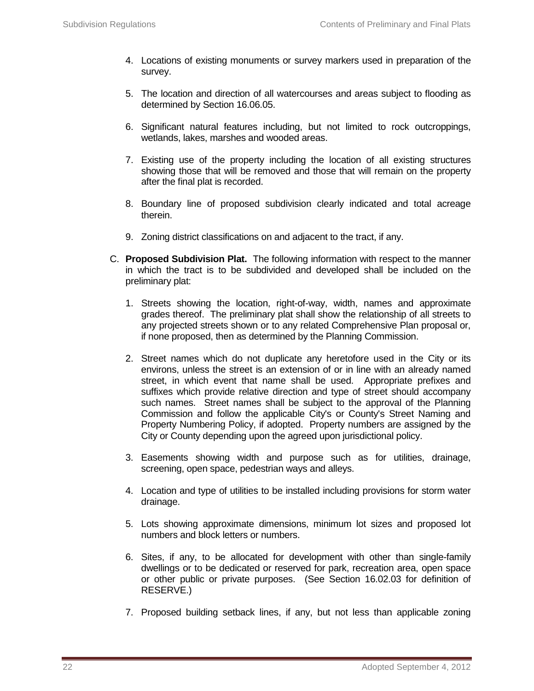- 4. Locations of existing monuments or survey markers used in preparation of the survey.
- 5. The location and direction of all watercourses and areas subject to flooding as determined by Section 16.06.05.
- 6. Significant natural features including, but not limited to rock outcroppings, wetlands, lakes, marshes and wooded areas.
- 7. Existing use of the property including the location of all existing structures showing those that will be removed and those that will remain on the property after the final plat is recorded.
- 8. Boundary line of proposed subdivision clearly indicated and total acreage therein.
- 9. Zoning district classifications on and adjacent to the tract, if any.
- C. **Proposed Subdivision Plat.** The following information with respect to the manner in which the tract is to be subdivided and developed shall be included on the preliminary plat:
	- 1. Streets showing the location, right-of-way, width, names and approximate grades thereof. The preliminary plat shall show the relationship of all streets to any projected streets shown or to any related Comprehensive Plan proposal or, if none proposed, then as determined by the Planning Commission.
	- 2. Street names which do not duplicate any heretofore used in the City or its environs, unless the street is an extension of or in line with an already named street, in which event that name shall be used. Appropriate prefixes and suffixes which provide relative direction and type of street should accompany such names. Street names shall be subject to the approval of the Planning Commission and follow the applicable City's or County's Street Naming and Property Numbering Policy, if adopted. Property numbers are assigned by the City or County depending upon the agreed upon jurisdictional policy.
	- 3. Easements showing width and purpose such as for utilities, drainage, screening, open space, pedestrian ways and alleys.
	- 4. Location and type of utilities to be installed including provisions for storm water drainage.
	- 5. Lots showing approximate dimensions, minimum lot sizes and proposed lot numbers and block letters or numbers.
	- 6. Sites, if any, to be allocated for development with other than single-family dwellings or to be dedicated or reserved for park, recreation area, open space or other public or private purposes. (See Section 16.02.03 for definition of RESERVE.)
	- 7. Proposed building setback lines, if any, but not less than applicable zoning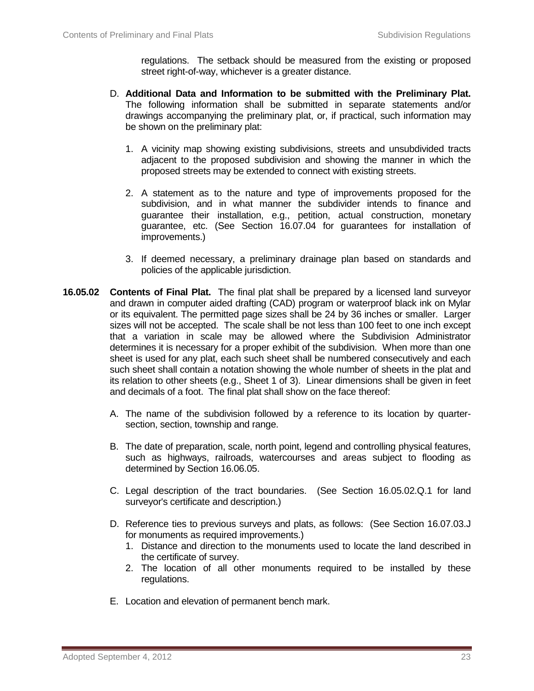regulations. The setback should be measured from the existing or proposed street right-of-way, whichever is a greater distance.

- D. **Additional Data and Information to be submitted with the Preliminary Plat.**  The following information shall be submitted in separate statements and/or drawings accompanying the preliminary plat, or, if practical, such information may be shown on the preliminary plat:
	- 1. A vicinity map showing existing subdivisions, streets and unsubdivided tracts adjacent to the proposed subdivision and showing the manner in which the proposed streets may be extended to connect with existing streets.
	- 2. A statement as to the nature and type of improvements proposed for the subdivision, and in what manner the subdivider intends to finance and guarantee their installation, e.g., petition, actual construction, monetary guarantee, etc. (See Section 16.07.04 for guarantees for installation of improvements.)
	- 3. If deemed necessary, a preliminary drainage plan based on standards and policies of the applicable jurisdiction.
- **16.05.02 Contents of Final Plat.** The final plat shall be prepared by a licensed land surveyor and drawn in computer aided drafting (CAD) program or waterproof black ink on Mylar or its equivalent. The permitted page sizes shall be 24 by 36 inches or smaller. Larger sizes will not be accepted. The scale shall be not less than 100 feet to one inch except that a variation in scale may be allowed where the Subdivision Administrator determines it is necessary for a proper exhibit of the subdivision. When more than one sheet is used for any plat, each such sheet shall be numbered consecutively and each such sheet shall contain a notation showing the whole number of sheets in the plat and its relation to other sheets (e.g., Sheet 1 of 3). Linear dimensions shall be given in feet and decimals of a foot. The final plat shall show on the face thereof:
	- A. The name of the subdivision followed by a reference to its location by quartersection, section, township and range.
	- B. The date of preparation, scale, north point, legend and controlling physical features, such as highways, railroads, watercourses and areas subject to flooding as determined by Section 16.06.05.
	- C. Legal description of the tract boundaries. (See Section 16.05.02.Q.1 for land surveyor's certificate and description.)
	- D. Reference ties to previous surveys and plats, as follows: (See Section 16.07.03.J for monuments as required improvements.)
		- 1. Distance and direction to the monuments used to locate the land described in the certificate of survey.
		- 2. The location of all other monuments required to be installed by these regulations.
	- E. Location and elevation of permanent bench mark.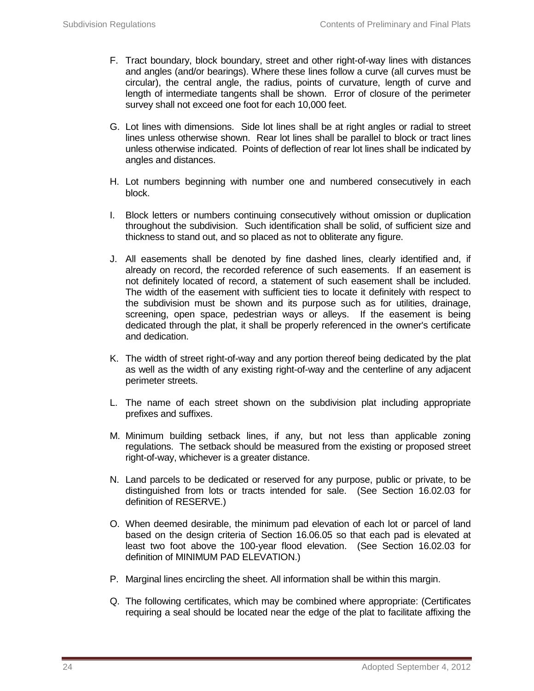- F. Tract boundary, block boundary, street and other right-of-way lines with distances and angles (and/or bearings). Where these lines follow a curve (all curves must be circular), the central angle, the radius, points of curvature, length of curve and length of intermediate tangents shall be shown. Error of closure of the perimeter survey shall not exceed one foot for each 10,000 feet.
- G. Lot lines with dimensions. Side lot lines shall be at right angles or radial to street lines unless otherwise shown. Rear lot lines shall be parallel to block or tract lines unless otherwise indicated. Points of deflection of rear lot lines shall be indicated by angles and distances.
- H. Lot numbers beginning with number one and numbered consecutively in each block.
- I. Block letters or numbers continuing consecutively without omission or duplication throughout the subdivision. Such identification shall be solid, of sufficient size and thickness to stand out, and so placed as not to obliterate any figure.
- J. All easements shall be denoted by fine dashed lines, clearly identified and, if already on record, the recorded reference of such easements. If an easement is not definitely located of record, a statement of such easement shall be included. The width of the easement with sufficient ties to locate it definitely with respect to the subdivision must be shown and its purpose such as for utilities, drainage, screening, open space, pedestrian ways or alleys. If the easement is being dedicated through the plat, it shall be properly referenced in the owner's certificate and dedication.
- K. The width of street right-of-way and any portion thereof being dedicated by the plat as well as the width of any existing right-of-way and the centerline of any adjacent perimeter streets.
- L. The name of each street shown on the subdivision plat including appropriate prefixes and suffixes.
- M. Minimum building setback lines, if any, but not less than applicable zoning regulations. The setback should be measured from the existing or proposed street right-of-way, whichever is a greater distance.
- N. Land parcels to be dedicated or reserved for any purpose, public or private, to be distinguished from lots or tracts intended for sale. (See Section 16.02.03 for definition of RESERVE.)
- O. When deemed desirable, the minimum pad elevation of each lot or parcel of land based on the design criteria of Section 16.06.05 so that each pad is elevated at least two foot above the 100-year flood elevation. (See Section 16.02.03 for definition of MINIMUM PAD ELEVATION.)
- P. Marginal lines encircling the sheet. All information shall be within this margin.
- Q. The following certificates, which may be combined where appropriate: (Certificates requiring a seal should be located near the edge of the plat to facilitate affixing the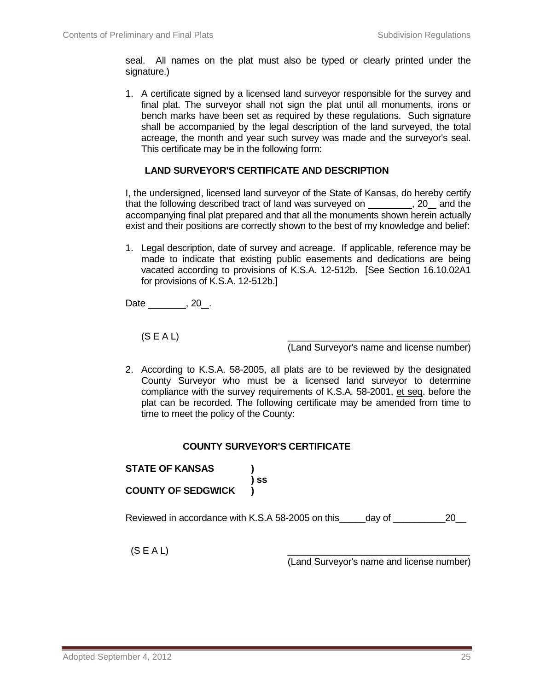seal. All names on the plat must also be typed or clearly printed under the signature.)

1. A certificate signed by a licensed land surveyor responsible for the survey and final plat. The surveyor shall not sign the plat until all monuments, irons or bench marks have been set as required by these regulations. Such signature shall be accompanied by the legal description of the land surveyed, the total acreage, the month and year such survey was made and the surveyor's seal. This certificate may be in the following form:

#### **LAND SURVEYOR'S CERTIFICATE AND DESCRIPTION**

I, the undersigned, licensed land surveyor of the State of Kansas, do hereby certify that the following described tract of land was surveyed on , 20 and the accompanying final plat prepared and that all the monuments shown herein actually exist and their positions are correctly shown to the best of my knowledge and belief:

1. Legal description, date of survey and acreage. If applicable, reference may be made to indicate that existing public easements and dedications are being vacated according to provisions of K.S.A. 12-512b. [See Section 16.10.02A1 for provisions of K.S.A. 12-512b.]

Date \_\_\_\_\_\_\_\_, 20\_.

(S E A L) \_\_\_\_\_\_\_\_\_\_\_\_\_\_\_\_\_\_\_\_\_\_\_\_\_\_\_\_\_\_\_\_\_\_\_

(Land Surveyor's name and license number)

2. According to K.S.A. 58-2005, all plats are to be reviewed by the designated County Surveyor who must be a licensed land surveyor to determine compliance with the survey requirements of K.S.A. 58-2001, et seq. before the plat can be recorded. The following certificate may be amended from time to time to meet the policy of the County:

#### **COUNTY SURVEYOR'S CERTIFICATE**

**STATE OF KANSAS ) ) ss COUNTY OF SEDGWICK )**

Reviewed in accordance with K.S.A 58-2005 on this day of  $20$ 

 $(S\,E\,A\,L)$  and the contract of the contract of the contract of the contract of the contract of the contract of the contract of the contract of the contract of the contract of the contract of the contract of the contrac

(Land Surveyor's name and license number)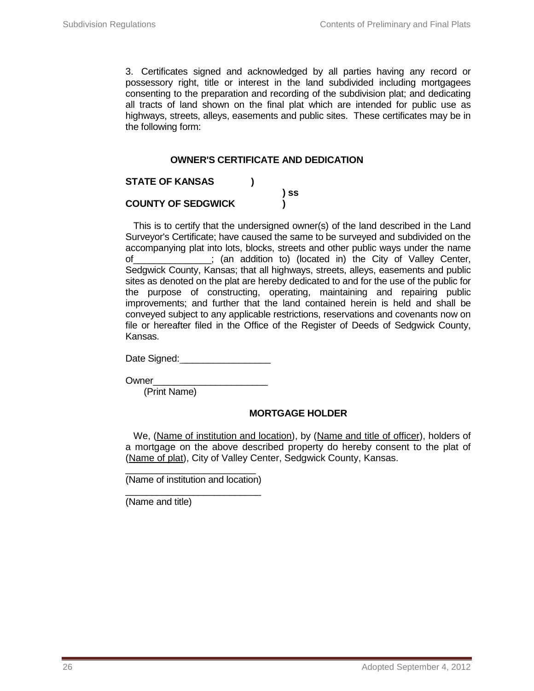3. Certificates signed and acknowledged by all parties having any record or possessory right, title or interest in the land subdivided including mortgagees consenting to the preparation and recording of the subdivision plat; and dedicating all tracts of land shown on the final plat which are intended for public use as highways, streets, alleys, easements and public sites. These certificates may be in the following form:

#### **OWNER'S CERTIFICATE AND DEDICATION**

| <b>STATE OF KANSAS</b>    |      |
|---------------------------|------|
|                           | ) SS |
| <b>COUNTY OF SEDGWICK</b> |      |

This is to certify that the undersigned owner(s) of the land described in the Land Surveyor's Certificate; have caused the same to be surveyed and subdivided on the accompanying plat into lots, blocks, streets and other public ways under the name of\_\_\_\_\_\_\_\_\_\_\_\_\_\_\_; (an addition to) (located in) the City of Valley Center, Sedgwick County, Kansas; that all highways, streets, alleys, easements and public sites as denoted on the plat are hereby dedicated to and for the use of the public for the purpose of constructing, operating, maintaining and repairing public improvements; and further that the land contained herein is held and shall be conveyed subject to any applicable restrictions, reservations and covenants now on file or hereafter filed in the Office of the Register of Deeds of Sedgwick County, Kansas.

Date Signed:  $\Box$ 

Owner\_\_\_

(Print Name)

## **MORTGAGE HOLDER**

We, (Name of institution and location), by (Name and title of officer), holders of a mortgage on the above described property do hereby consent to the plat of (Name of plat), City of Valley Center, Sedgwick County, Kansas.

\_\_\_\_\_\_\_\_\_\_\_\_\_\_\_\_\_\_\_\_\_\_\_\_\_ (Name of institution and location)

\_\_\_\_\_\_\_\_\_\_\_\_\_\_\_\_\_\_\_\_\_\_\_\_\_\_ (Name and title)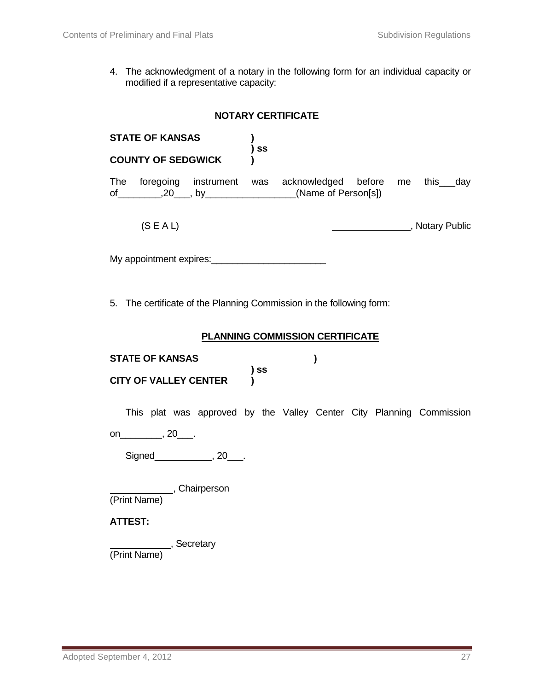4. The acknowledgment of a notary in the following form for an individual capacity or modified if a representative capacity:

|                        | <b>NOTARY CERTIFICATE</b>                                            |                                        |      |  |  |   |  |  |                                                                      |
|------------------------|----------------------------------------------------------------------|----------------------------------------|------|--|--|---|--|--|----------------------------------------------------------------------|
| <b>STATE OF KANSAS</b> |                                                                      |                                        |      |  |  |   |  |  |                                                                      |
|                        | <b>COUNTY OF SEDGWICK</b>                                            |                                        | ) ss |  |  |   |  |  |                                                                      |
|                        | of __________,20____, by ___________________(Name of Person[s])      |                                        |      |  |  |   |  |  | The foregoing instrument was acknowledged before me this___day       |
|                        | (S E A L)                                                            |                                        |      |  |  |   |  |  | Notary Public                                                        |
|                        |                                                                      |                                        |      |  |  |   |  |  |                                                                      |
|                        | 5. The certificate of the Planning Commission in the following form: |                                        |      |  |  |   |  |  |                                                                      |
|                        |                                                                      | <b>PLANNING COMMISSION CERTIFICATE</b> |      |  |  |   |  |  |                                                                      |
|                        | <b>STATE OF KANSAS</b>                                               |                                        | ) SS |  |  | ) |  |  |                                                                      |
|                        | <b>CITY OF VALLEY CENTER</b>                                         |                                        |      |  |  |   |  |  |                                                                      |
|                        | on_____________, 20_____.                                            |                                        |      |  |  |   |  |  | This plat was approved by the Valley Center City Planning Commission |
|                        |                                                                      |                                        |      |  |  |   |  |  |                                                                      |
|                        |                                                                      |                                        |      |  |  |   |  |  |                                                                      |
|                        | (Print Name), Chairperson                                            |                                        |      |  |  |   |  |  |                                                                      |
| <b>ATTEST:</b>         |                                                                      |                                        |      |  |  |   |  |  |                                                                      |
|                        | , Secretary<br>(Print Name)                                          |                                        |      |  |  |   |  |  |                                                                      |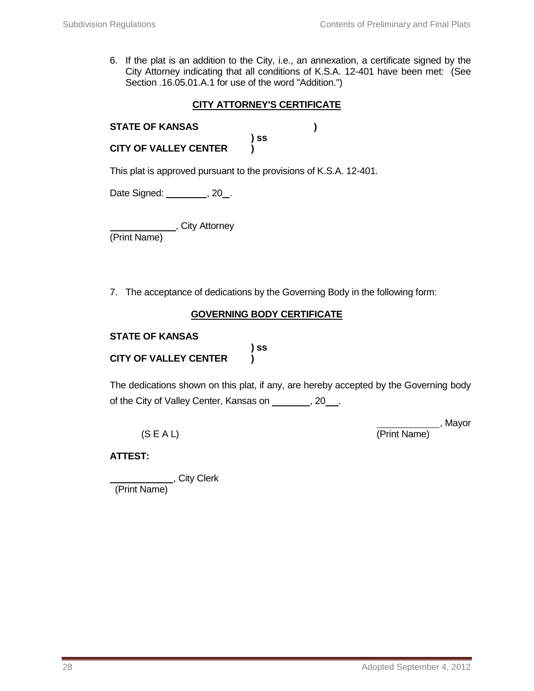6. If the plat is an addition to the City, i.e., an annexation, a certificate signed by the City Attorney indicating that all conditions of K.S.A. 12-401 have been met: (See Section .16.05.01.A.1 for use of the word "Addition.")

## **CITY ATTORNEY'S CERTIFICATE**

| <b>STATE OF KANSAS</b>       |      |  |
|------------------------------|------|--|
|                              | ) SS |  |
| <b>CITY OF VALLEY CENTER</b> |      |  |

This plat is approved pursuant to the provisions of K.S.A. 12-401.

Date Signed: \_\_\_\_\_\_\_\_, 20\_.

\_\_\_\_\_\_\_\_\_\_\_\_\_\_\_\_, City Attorney

(Print Name)

7. The acceptance of dedications by the Governing Body in the following form:

## **GOVERNING BODY CERTIFICATE**

#### **STATE OF KANSAS**

**) ss CITY OF VALLEY CENTER )**

The dedications shown on this plat, if any, are hereby accepted by the Governing body of the City of Valley Center, Kansas on \_\_\_\_\_\_, 20\_\_.

(S E A L) (Print Name)

, Mayor

## **ATTEST:**

 , City Clerk (Print Name)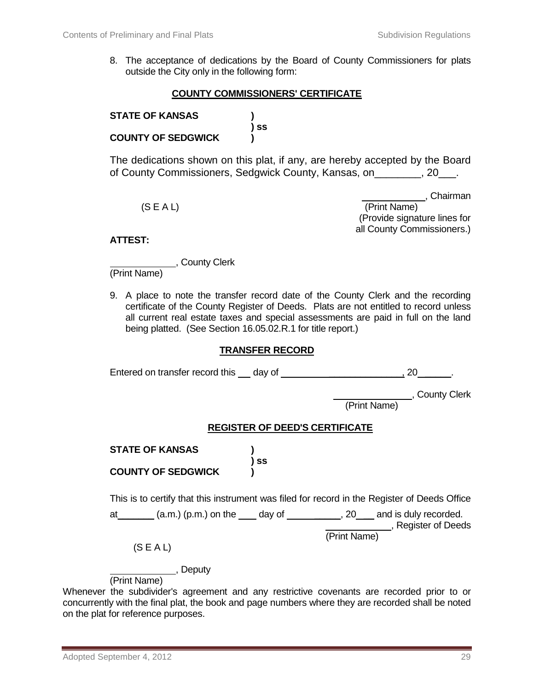8. The acceptance of dedications by the Board of County Commissioners for plats outside the City only in the following form:

#### **COUNTY COMMISSIONERS' CERTIFICATE**

| <b>STATE OF KANSAS</b>    |      |
|---------------------------|------|
|                           | ) ss |
| <b>COUNTY OF SEDGWICK</b> |      |

The dedications shown on this plat, if any, are hereby accepted by the Board of County Commissioners, Sedgwick County, Kansas, on\_\_\_\_\_\_\_\_, 20\_\_\_.

 , Chairman (S E A L) (Print Name) (Provide signature lines for all County Commissioners.)

#### **ATTEST:**

, County Clerk

(Print Name)

9. A place to note the transfer record date of the County Clerk and the recording certificate of the County Register of Deeds. Plats are not entitled to record unless all current real estate taxes and special assessments are paid in full on the land being platted. (See Section 16.05.02.R.1 for title report.)

#### **TRANSFER RECORD**

| Entered on transfer record this day of                                             |                                       | <b>20</b>                                                                                    |
|------------------------------------------------------------------------------------|---------------------------------------|----------------------------------------------------------------------------------------------|
|                                                                                    |                                       | __, County Clerk<br>(Print Name)                                                             |
|                                                                                    | <b>REGISTER OF DEED'S CERTIFICATE</b> |                                                                                              |
| <b>STATE OF KANSAS</b>                                                             |                                       |                                                                                              |
| <b>COUNTY OF SEDGWICK</b>                                                          | SS)                                   |                                                                                              |
|                                                                                    |                                       | This is to certify that this instrument was filed for record in the Register of Deeds Office |
| at_______ (a.m.) (p.m.) on the ____ day of __________, 20___ and is duly recorded. |                                       | Register of Deeds                                                                            |
| (S E A L)                                                                          |                                       | (Print Name)                                                                                 |
| , Deputy                                                                           |                                       |                                                                                              |

(Print Name)

Whenever the subdivider's agreement and any restrictive covenants are recorded prior to or concurrently with the final plat, the book and page numbers where they are recorded shall be noted on the plat for reference purposes.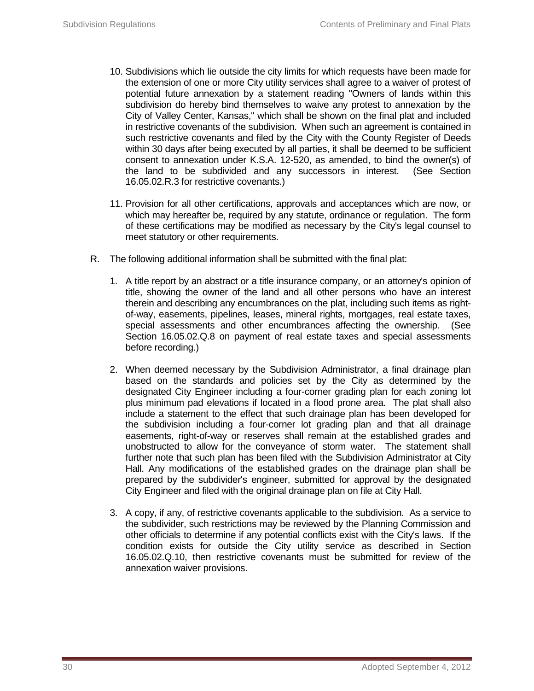- 10. Subdivisions which lie outside the city limits for which requests have been made for the extension of one or more City utility services shall agree to a waiver of protest of potential future annexation by a statement reading "Owners of lands within this subdivision do hereby bind themselves to waive any protest to annexation by the City of Valley Center, Kansas," which shall be shown on the final plat and included in restrictive covenants of the subdivision. When such an agreement is contained in such restrictive covenants and filed by the City with the County Register of Deeds within 30 days after being executed by all parties, it shall be deemed to be sufficient consent to annexation under K.S.A. 12-520, as amended, to bind the owner(s) of the land to be subdivided and any successors in interest. (See Section 16.05.02.R.3 for restrictive covenants.)
- 11. Provision for all other certifications, approvals and acceptances which are now, or which may hereafter be, required by any statute, ordinance or regulation. The form of these certifications may be modified as necessary by the City's legal counsel to meet statutory or other requirements.
- R. The following additional information shall be submitted with the final plat:
	- 1. A title report by an abstract or a title insurance company, or an attorney's opinion of title, showing the owner of the land and all other persons who have an interest therein and describing any encumbrances on the plat, including such items as rightof-way, easements, pipelines, leases, mineral rights, mortgages, real estate taxes, special assessments and other encumbrances affecting the ownership. (See Section 16.05.02.Q.8 on payment of real estate taxes and special assessments before recording.)
	- 2. When deemed necessary by the Subdivision Administrator, a final drainage plan based on the standards and policies set by the City as determined by the designated City Engineer including a four-corner grading plan for each zoning lot plus minimum pad elevations if located in a flood prone area. The plat shall also include a statement to the effect that such drainage plan has been developed for the subdivision including a four-corner lot grading plan and that all drainage easements, right-of-way or reserves shall remain at the established grades and unobstructed to allow for the conveyance of storm water. The statement shall further note that such plan has been filed with the Subdivision Administrator at City Hall. Any modifications of the established grades on the drainage plan shall be prepared by the subdivider's engineer, submitted for approval by the designated City Engineer and filed with the original drainage plan on file at City Hall.
	- 3. A copy, if any, of restrictive covenants applicable to the subdivision. As a service to the subdivider, such restrictions may be reviewed by the Planning Commission and other officials to determine if any potential conflicts exist with the City's laws. If the condition exists for outside the City utility service as described in Section 16.05.02.Q.10, then restrictive covenants must be submitted for review of the annexation waiver provisions.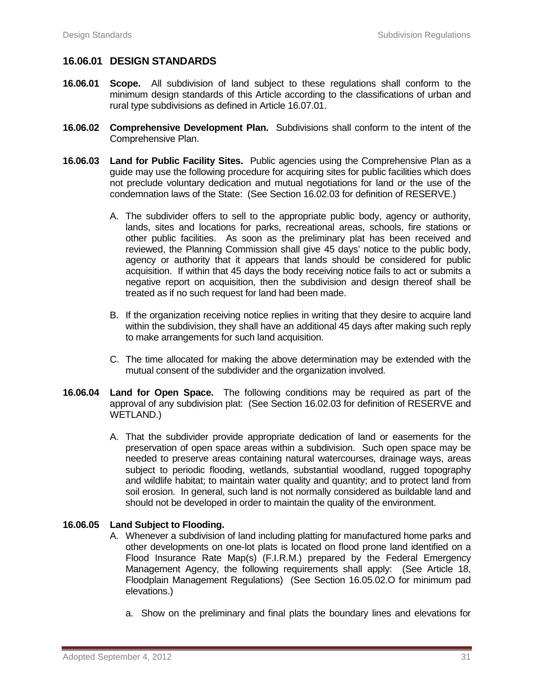## **16.06.01 DESIGN STANDARDS**

- **16.06.01 Scope.** All subdivision of land subject to these regulations shall conform to the minimum design standards of this Article according to the classifications of urban and rural type subdivisions as defined in Article 16.07.01.
- **16.06.02 Comprehensive Development Plan.** Subdivisions shall conform to the intent of the Comprehensive Plan.
- **16.06.03 Land for Public Facility Sites.** Public agencies using the Comprehensive Plan as a guide may use the following procedure for acquiring sites for public facilities which does not preclude voluntary dedication and mutual negotiations for land or the use of the condemnation laws of the State: (See Section 16.02.03 for definition of RESERVE.)
	- A. The subdivider offers to sell to the appropriate public body, agency or authority, lands, sites and locations for parks, recreational areas, schools, fire stations or other public facilities. As soon as the preliminary plat has been received and reviewed, the Planning Commission shall give 45 days' notice to the public body, agency or authority that it appears that lands should be considered for public acquisition. If within that 45 days the body receiving notice fails to act or submits a negative report on acquisition, then the subdivision and design thereof shall be treated as if no such request for land had been made.
	- B. If the organization receiving notice replies in writing that they desire to acquire land within the subdivision, they shall have an additional 45 days after making such reply to make arrangements for such land acquisition.
	- C. The time allocated for making the above determination may be extended with the mutual consent of the subdivider and the organization involved.
- **16.06.04 Land for Open Space.** The following conditions may be required as part of the approval of any subdivision plat: (See Section 16.02.03 for definition of RESERVE and WETLAND.)
	- A. That the subdivider provide appropriate dedication of land or easements for the preservation of open space areas within a subdivision. Such open space may be needed to preserve areas containing natural watercourses, drainage ways, areas subject to periodic flooding, wetlands, substantial woodland, rugged topography and wildlife habitat; to maintain water quality and quantity; and to protect land from soil erosion. In general, such land is not normally considered as buildable land and should not be developed in order to maintain the quality of the environment.

## **16.06.05 Land Subject to Flooding.**

- A. Whenever a subdivision of land including platting for manufactured home parks and other developments on one-lot plats is located on flood prone land identified on a Flood Insurance Rate Map(s) (F.I.R.M.) prepared by the Federal Emergency Management Agency, the following requirements shall apply: (See Article 18, Floodplain Management Regulations) (See Section 16.05.02.O for minimum pad elevations.)
	- a. Show on the preliminary and final plats the boundary lines and elevations for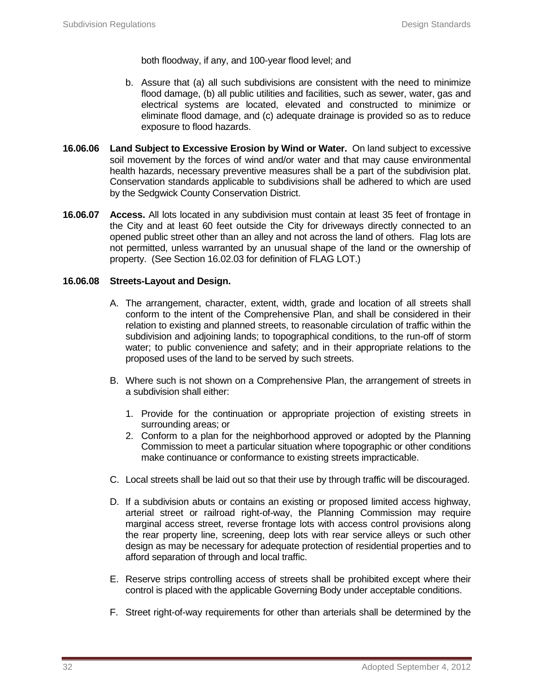both floodway, if any, and 100-year flood level; and

- b. Assure that (a) all such subdivisions are consistent with the need to minimize flood damage, (b) all public utilities and facilities, such as sewer, water, gas and electrical systems are located, elevated and constructed to minimize or eliminate flood damage, and (c) adequate drainage is provided so as to reduce exposure to flood hazards.
- **16.06.06 Land Subject to Excessive Erosion by Wind or Water.** On land subject to excessive soil movement by the forces of wind and/or water and that may cause environmental health hazards, necessary preventive measures shall be a part of the subdivision plat. Conservation standards applicable to subdivisions shall be adhered to which are used by the Sedgwick County Conservation District.
- **16.06.07 Access.** All lots located in any subdivision must contain at least 35 feet of frontage in the City and at least 60 feet outside the City for driveways directly connected to an opened public street other than an alley and not across the land of others. Flag lots are not permitted, unless warranted by an unusual shape of the land or the ownership of property. (See Section 16.02.03 for definition of FLAG LOT.)

#### **16.06.08 Streets-Layout and Design.**

- A. The arrangement, character, extent, width, grade and location of all streets shall conform to the intent of the Comprehensive Plan, and shall be considered in their relation to existing and planned streets, to reasonable circulation of traffic within the subdivision and adjoining lands; to topographical conditions, to the run-off of storm water; to public convenience and safety; and in their appropriate relations to the proposed uses of the land to be served by such streets.
- B. Where such is not shown on a Comprehensive Plan, the arrangement of streets in a subdivision shall either:
	- 1. Provide for the continuation or appropriate projection of existing streets in surrounding areas; or
	- 2. Conform to a plan for the neighborhood approved or adopted by the Planning Commission to meet a particular situation where topographic or other conditions make continuance or conformance to existing streets impracticable.
- C. Local streets shall be laid out so that their use by through traffic will be discouraged.
- D. If a subdivision abuts or contains an existing or proposed limited access highway, arterial street or railroad right-of-way, the Planning Commission may require marginal access street, reverse frontage lots with access control provisions along the rear property line, screening, deep lots with rear service alleys or such other design as may be necessary for adequate protection of residential properties and to afford separation of through and local traffic.
- E. Reserve strips controlling access of streets shall be prohibited except where their control is placed with the applicable Governing Body under acceptable conditions.
- F. Street right-of-way requirements for other than arterials shall be determined by the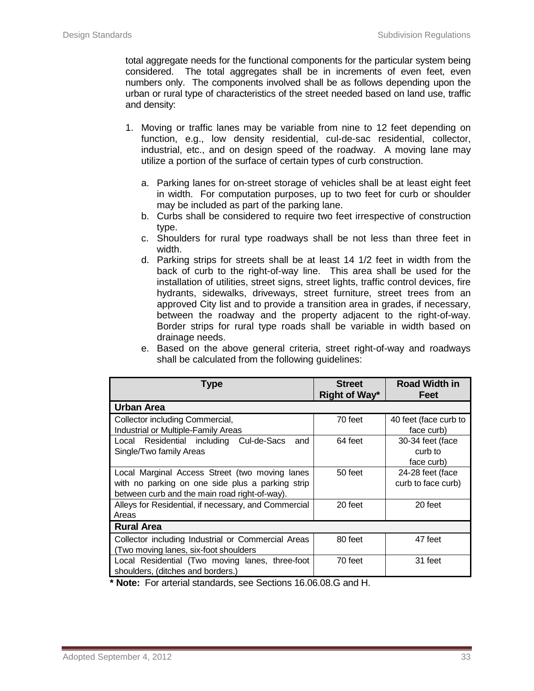total aggregate needs for the functional components for the particular system being considered. The total aggregates shall be in increments of even feet, even numbers only. The components involved shall be as follows depending upon the urban or rural type of characteristics of the street needed based on land use, traffic and density:

- 1. Moving or traffic lanes may be variable from nine to 12 feet depending on function, e.g., low density residential, cul-de-sac residential, collector, industrial, etc., and on design speed of the roadway. A moving lane may utilize a portion of the surface of certain types of curb construction.
	- a. Parking lanes for on-street storage of vehicles shall be at least eight feet in width. For computation purposes, up to two feet for curb or shoulder may be included as part of the parking lane.
	- b. Curbs shall be considered to require two feet irrespective of construction type.
	- c. Shoulders for rural type roadways shall be not less than three feet in width.
	- d. Parking strips for streets shall be at least 14 1/2 feet in width from the back of curb to the right-of-way line. This area shall be used for the installation of utilities, street signs, street lights, traffic control devices, fire hydrants, sidewalks, driveways, street furniture, street trees from an approved City list and to provide a transition area in grades, if necessary, between the roadway and the property adjacent to the right-of-way. Border strips for rural type roads shall be variable in width based on drainage needs.

|                                                    |  |  | e. Based on the above general criteria, street right-of-way and roadways |  |
|----------------------------------------------------|--|--|--------------------------------------------------------------------------|--|
| shall be calculated from the following guidelines: |  |  |                                                                          |  |

| Type                                                 | <b>Street</b><br>Right of Way* | <b>Road Width in</b><br>Feet |
|------------------------------------------------------|--------------------------------|------------------------------|
| <b>Urban Area</b>                                    |                                |                              |
| Collector including Commercial,                      | 70 feet                        | 40 feet (face curb to        |
| Industrial or Multiple-Family Areas                  |                                | face curb)                   |
| Cul-de-Sacs<br>Local Residential including<br>and    | 64 feet                        | 30-34 feet (face             |
| Single/Two family Areas                              |                                | curb to                      |
|                                                      |                                | face curb)                   |
| Local Marginal Access Street (two moving lanes       | 50 feet                        | 24-28 feet (face             |
| with no parking on one side plus a parking strip     |                                | curb to face curb)           |
| between curb and the main road right-of-way).        |                                |                              |
| Alleys for Residential, if necessary, and Commercial | 20 feet                        | 20 feet                      |
| Areas                                                |                                |                              |
| <b>Rural Area</b>                                    |                                |                              |
| Collector including Industrial or Commercial Areas   | 80 feet                        | 47 feet                      |
| (Two moving lanes, six-foot shoulders)               |                                |                              |
| Local Residential (Two moving lanes, three-foot      | 70 feet                        | 31 feet                      |
| shoulders, (ditches and borders.)                    |                                |                              |

**\* Note:** For arterial standards, see Sections 16.06.08.G and H.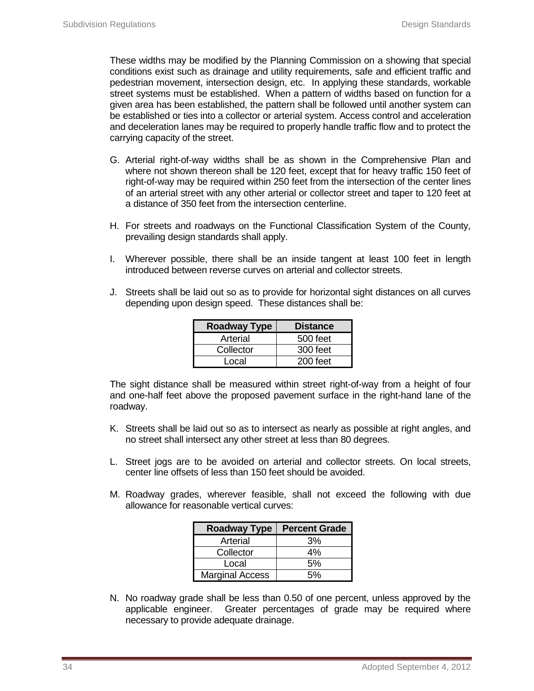These widths may be modified by the Planning Commission on a showing that special conditions exist such as drainage and utility requirements, safe and efficient traffic and pedestrian movement, intersection design, etc. In applying these standards, workable street systems must be established. When a pattern of widths based on function for a given area has been established, the pattern shall be followed until another system can be established or ties into a collector or arterial system. Access control and acceleration and deceleration lanes may be required to properly handle traffic flow and to protect the carrying capacity of the street.

- G. Arterial right-of-way widths shall be as shown in the Comprehensive Plan and where not shown thereon shall be 120 feet, except that for heavy traffic 150 feet of right-of-way may be required within 250 feet from the intersection of the center lines of an arterial street with any other arterial or collector street and taper to 120 feet at a distance of 350 feet from the intersection centerline.
- H. For streets and roadways on the Functional Classification System of the County, prevailing design standards shall apply.
- I. Wherever possible, there shall be an inside tangent at least 100 feet in length introduced between reverse curves on arterial and collector streets.
- J. Streets shall be laid out so as to provide for horizontal sight distances on all curves depending upon design speed. These distances shall be:

| <b>Roadway Type</b> | <b>Distance</b> |
|---------------------|-----------------|
| Arterial            | 500 feet        |
| Collector           | 300 feet        |
| Local               | $200$ feet      |

The sight distance shall be measured within street right-of-way from a height of four and one-half feet above the proposed pavement surface in the right-hand lane of the roadway.

- K. Streets shall be laid out so as to intersect as nearly as possible at right angles, and no street shall intersect any other street at less than 80 degrees.
- L. Street jogs are to be avoided on arterial and collector streets. On local streets, center line offsets of less than 150 feet should be avoided.
- M. Roadway grades, wherever feasible, shall not exceed the following with due allowance for reasonable vertical curves:

| <b>Roadway Type</b>    | <b>Percent Grade</b> |
|------------------------|----------------------|
| Arterial               | 3%                   |
| Collector              | 4%                   |
| Local                  | 5%                   |
| <b>Marginal Access</b> | 5%                   |

N. No roadway grade shall be less than 0.50 of one percent, unless approved by the applicable engineer. Greater percentages of grade may be required where necessary to provide adequate drainage.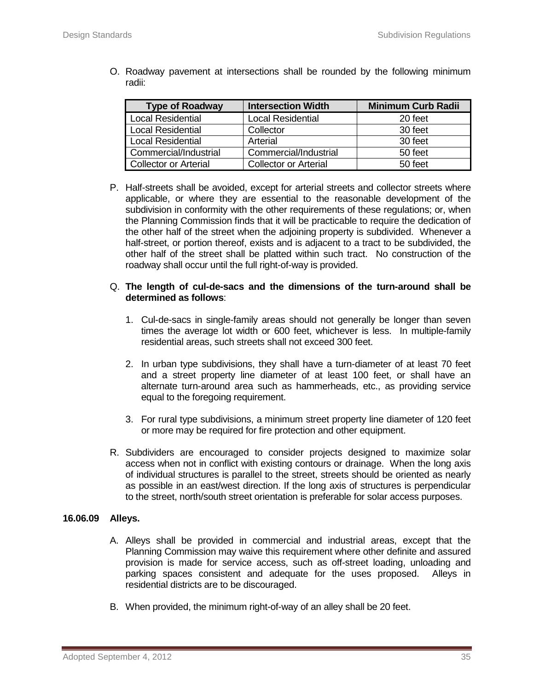| <b>Type of Roadway</b>       | <b>Intersection Width</b> | <b>Minimum Curb Radii</b> |
|------------------------------|---------------------------|---------------------------|
| <b>Local Residential</b>     | <b>Local Residential</b>  | 20 feet                   |
| <b>Local Residential</b>     | Collector                 | 30 feet                   |
| <b>Local Residential</b>     | Arterial                  | 30 feet                   |
| Commercial/Industrial        | Commercial/Industrial     | 50 feet                   |
| <b>Collector or Arterial</b> | Collector or Arterial     | 50 feet                   |

O. Roadway pavement at intersections shall be rounded by the following minimum radii:

P. Half-streets shall be avoided, except for arterial streets and collector streets where applicable, or where they are essential to the reasonable development of the subdivision in conformity with the other requirements of these regulations; or, when the Planning Commission finds that it will be practicable to require the dedication of the other half of the street when the adjoining property is subdivided. Whenever a half-street, or portion thereof, exists and is adjacent to a tract to be subdivided, the other half of the street shall be platted within such tract. No construction of the roadway shall occur until the full right-of-way is provided.

#### Q. **The length of cul-de-sacs and the dimensions of the turn-around shall be determined as follows**:

- 1. Cul-de-sacs in single-family areas should not generally be longer than seven times the average lot width or 600 feet, whichever is less. In multiple-family residential areas, such streets shall not exceed 300 feet.
- 2. In urban type subdivisions, they shall have a turn-diameter of at least 70 feet and a street property line diameter of at least 100 feet, or shall have an alternate turn-around area such as hammerheads, etc., as providing service equal to the foregoing requirement.
- 3. For rural type subdivisions, a minimum street property line diameter of 120 feet or more may be required for fire protection and other equipment.
- R. Subdividers are encouraged to consider projects designed to maximize solar access when not in conflict with existing contours or drainage. When the long axis of individual structures is parallel to the street, streets should be oriented as nearly as possible in an east/west direction. If the long axis of structures is perpendicular to the street, north/south street orientation is preferable for solar access purposes.

## **16.06.09 Alleys.**

- A. Alleys shall be provided in commercial and industrial areas, except that the Planning Commission may waive this requirement where other definite and assured provision is made for service access, such as off-street loading, unloading and parking spaces consistent and adequate for the uses proposed. Alleys in residential districts are to be discouraged.
- B. When provided, the minimum right-of-way of an alley shall be 20 feet.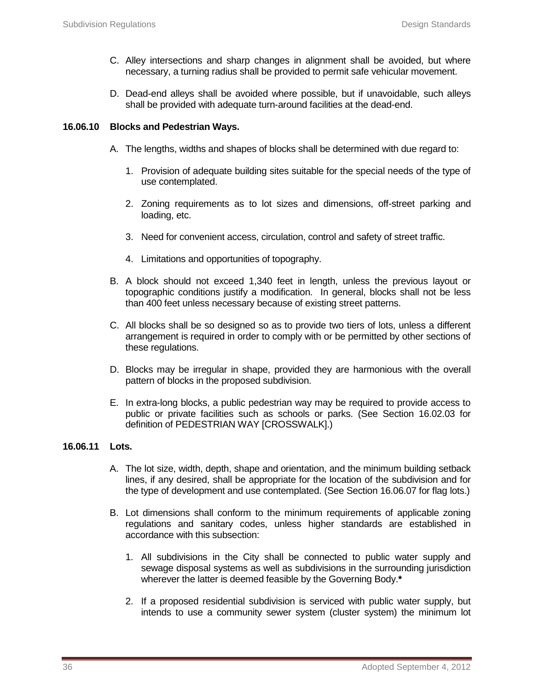- C. Alley intersections and sharp changes in alignment shall be avoided, but where necessary, a turning radius shall be provided to permit safe vehicular movement.
- D. Dead-end alleys shall be avoided where possible, but if unavoidable, such alleys shall be provided with adequate turn-around facilities at the dead-end.

#### **16.06.10 Blocks and Pedestrian Ways.**

- A. The lengths, widths and shapes of blocks shall be determined with due regard to:
	- 1. Provision of adequate building sites suitable for the special needs of the type of use contemplated.
	- 2. Zoning requirements as to lot sizes and dimensions, off-street parking and loading, etc.
	- 3. Need for convenient access, circulation, control and safety of street traffic.
	- 4. Limitations and opportunities of topography.
- B. A block should not exceed 1,340 feet in length, unless the previous layout or topographic conditions justify a modification. In general, blocks shall not be less than 400 feet unless necessary because of existing street patterns.
- C. All blocks shall be so designed so as to provide two tiers of lots, unless a different arrangement is required in order to comply with or be permitted by other sections of these regulations.
- D. Blocks may be irregular in shape, provided they are harmonious with the overall pattern of blocks in the proposed subdivision.
- E. In extra-long blocks, a public pedestrian way may be required to provide access to public or private facilities such as schools or parks. (See Section 16.02.03 for definition of PEDESTRIAN WAY [CROSSWALK].)

## **16.06.11 Lots.**

- A. The lot size, width, depth, shape and orientation, and the minimum building setback lines, if any desired, shall be appropriate for the location of the subdivision and for the type of development and use contemplated. (See Section 16.06.07 for flag lots.)
- B. Lot dimensions shall conform to the minimum requirements of applicable zoning regulations and sanitary codes, unless higher standards are established in accordance with this subsection:
	- 1. All subdivisions in the City shall be connected to public water supply and sewage disposal systems as well as subdivisions in the surrounding jurisdiction wherever the latter is deemed feasible by the Governing Body.**\***
	- 2. If a proposed residential subdivision is serviced with public water supply, but intends to use a community sewer system (cluster system) the minimum lot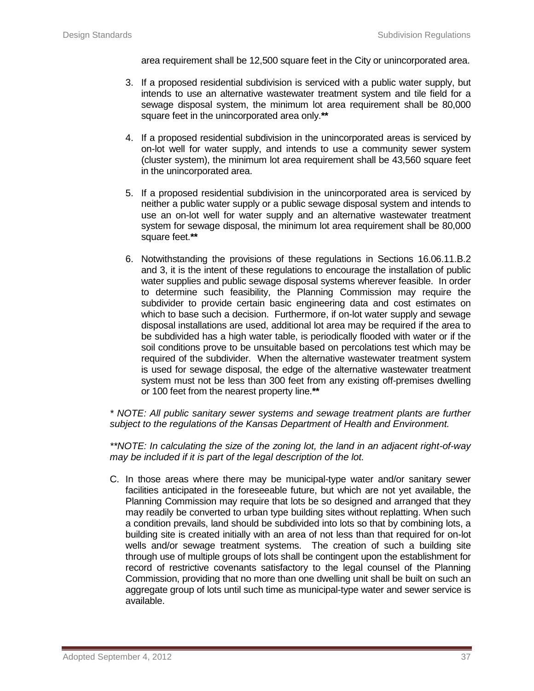area requirement shall be 12,500 square feet in the City or unincorporated area.

- 3. If a proposed residential subdivision is serviced with a public water supply, but intends to use an alternative wastewater treatment system and tile field for a sewage disposal system, the minimum lot area requirement shall be 80,000 square feet in the unincorporated area only.**\*\***
- 4. If a proposed residential subdivision in the unincorporated areas is serviced by on-lot well for water supply, and intends to use a community sewer system (cluster system), the minimum lot area requirement shall be 43,560 square feet in the unincorporated area.
- 5. If a proposed residential subdivision in the unincorporated area is serviced by neither a public water supply or a public sewage disposal system and intends to use an on-lot well for water supply and an alternative wastewater treatment system for sewage disposal, the minimum lot area requirement shall be 80,000 square feet.**\*\***
- 6. Notwithstanding the provisions of these regulations in Sections 16.06.11.B.2 and 3, it is the intent of these regulations to encourage the installation of public water supplies and public sewage disposal systems wherever feasible. In order to determine such feasibility, the Planning Commission may require the subdivider to provide certain basic engineering data and cost estimates on which to base such a decision. Furthermore, if on-lot water supply and sewage disposal installations are used, additional lot area may be required if the area to be subdivided has a high water table, is periodically flooded with water or if the soil conditions prove to be unsuitable based on percolations test which may be required of the subdivider. When the alternative wastewater treatment system is used for sewage disposal, the edge of the alternative wastewater treatment system must not be less than 300 feet from any existing off-premises dwelling or 100 feet from the nearest property line.**\*\***

*\* NOTE: All public sanitary sewer systems and sewage treatment plants are further subject to the regulations of the Kansas Department of Health and Environment.*

*\*\*NOTE: In calculating the size of the zoning lot, the land in an adjacent right-of-way may be included if it is part of the legal description of the lot.* 

C. In those areas where there may be municipal-type water and/or sanitary sewer facilities anticipated in the foreseeable future, but which are not yet available, the Planning Commission may require that lots be so designed and arranged that they may readily be converted to urban type building sites without replatting. When such a condition prevails, land should be subdivided into lots so that by combining lots, a building site is created initially with an area of not less than that required for on-lot wells and/or sewage treatment systems. The creation of such a building site through use of multiple groups of lots shall be contingent upon the establishment for record of restrictive covenants satisfactory to the legal counsel of the Planning Commission, providing that no more than one dwelling unit shall be built on such an aggregate group of lots until such time as municipal-type water and sewer service is available.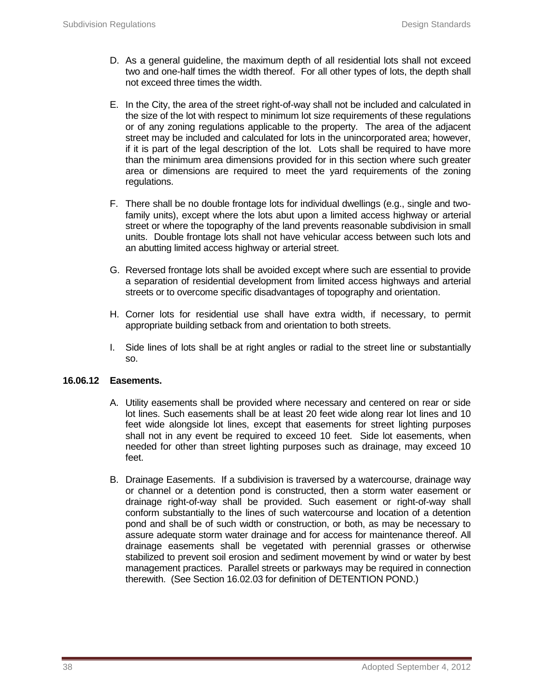- D. As a general guideline, the maximum depth of all residential lots shall not exceed two and one-half times the width thereof. For all other types of lots, the depth shall not exceed three times the width.
- E. In the City, the area of the street right-of-way shall not be included and calculated in the size of the lot with respect to minimum lot size requirements of these regulations or of any zoning regulations applicable to the property. The area of the adjacent street may be included and calculated for lots in the unincorporated area; however, if it is part of the legal description of the lot. Lots shall be required to have more than the minimum area dimensions provided for in this section where such greater area or dimensions are required to meet the yard requirements of the zoning regulations.
- F. There shall be no double frontage lots for individual dwellings (e.g., single and twofamily units), except where the lots abut upon a limited access highway or arterial street or where the topography of the land prevents reasonable subdivision in small units. Double frontage lots shall not have vehicular access between such lots and an abutting limited access highway or arterial street.
- G. Reversed frontage lots shall be avoided except where such are essential to provide a separation of residential development from limited access highways and arterial streets or to overcome specific disadvantages of topography and orientation.
- H. Corner lots for residential use shall have extra width, if necessary, to permit appropriate building setback from and orientation to both streets.
- I. Side lines of lots shall be at right angles or radial to the street line or substantially so.

## **16.06.12 Easements.**

- A. Utility easements shall be provided where necessary and centered on rear or side lot lines. Such easements shall be at least 20 feet wide along rear lot lines and 10 feet wide alongside lot lines, except that easements for street lighting purposes shall not in any event be required to exceed 10 feet. Side lot easements, when needed for other than street lighting purposes such as drainage, may exceed 10 feet.
- B. Drainage Easements. If a subdivision is traversed by a watercourse, drainage way or channel or a detention pond is constructed, then a storm water easement or drainage right-of-way shall be provided. Such easement or right-of-way shall conform substantially to the lines of such watercourse and location of a detention pond and shall be of such width or construction, or both, as may be necessary to assure adequate storm water drainage and for access for maintenance thereof. All drainage easements shall be vegetated with perennial grasses or otherwise stabilized to prevent soil erosion and sediment movement by wind or water by best management practices. Parallel streets or parkways may be required in connection therewith. (See Section 16.02.03 for definition of DETENTION POND.)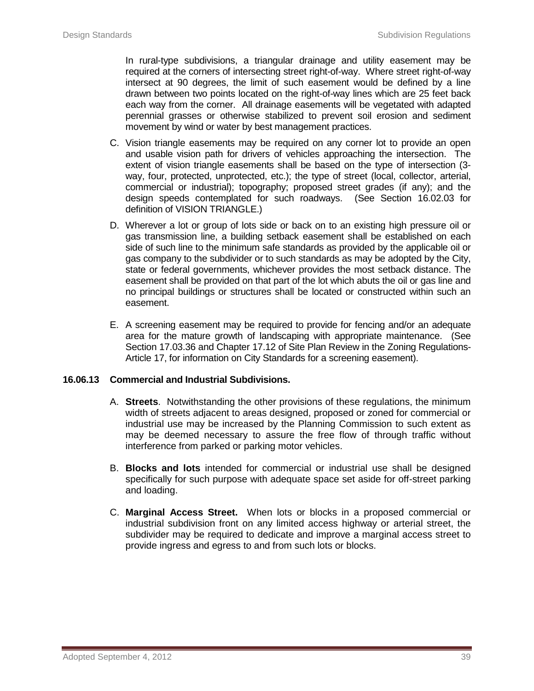In rural-type subdivisions, a triangular drainage and utility easement may be required at the corners of intersecting street right-of-way. Where street right-of-way intersect at 90 degrees, the limit of such easement would be defined by a line drawn between two points located on the right-of-way lines which are 25 feet back each way from the corner. All drainage easements will be vegetated with adapted perennial grasses or otherwise stabilized to prevent soil erosion and sediment movement by wind or water by best management practices.

- C. Vision triangle easements may be required on any corner lot to provide an open and usable vision path for drivers of vehicles approaching the intersection. The extent of vision triangle easements shall be based on the type of intersection (3 way, four, protected, unprotected, etc.); the type of street (local, collector, arterial, commercial or industrial); topography; proposed street grades (if any); and the design speeds contemplated for such roadways. (See Section 16.02.03 for definition of VISION TRIANGLE.)
- D. Wherever a lot or group of lots side or back on to an existing high pressure oil or gas transmission line, a building setback easement shall be established on each side of such line to the minimum safe standards as provided by the applicable oil or gas company to the subdivider or to such standards as may be adopted by the City, state or federal governments, whichever provides the most setback distance. The easement shall be provided on that part of the lot which abuts the oil or gas line and no principal buildings or structures shall be located or constructed within such an easement.
- E. A screening easement may be required to provide for fencing and/or an adequate area for the mature growth of landscaping with appropriate maintenance. (See Section 17.03.36 and Chapter 17.12 of Site Plan Review in the Zoning Regulations-Article 17, for information on City Standards for a screening easement).

## **16.06.13 Commercial and Industrial Subdivisions.**

- A. **Streets**. Notwithstanding the other provisions of these regulations, the minimum width of streets adjacent to areas designed, proposed or zoned for commercial or industrial use may be increased by the Planning Commission to such extent as may be deemed necessary to assure the free flow of through traffic without interference from parked or parking motor vehicles.
- B. **Blocks and lots** intended for commercial or industrial use shall be designed specifically for such purpose with adequate space set aside for off-street parking and loading.
- C. **Marginal Access Street.** When lots or blocks in a proposed commercial or industrial subdivision front on any limited access highway or arterial street, the subdivider may be required to dedicate and improve a marginal access street to provide ingress and egress to and from such lots or blocks.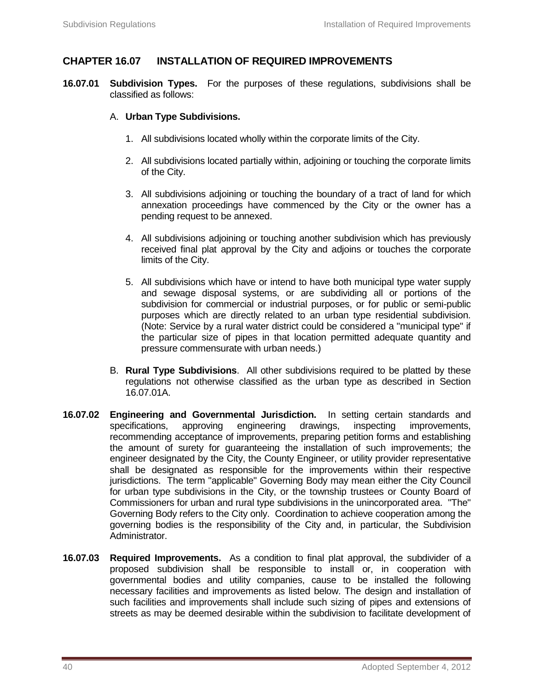# **CHAPTER 16.07 INSTALLATION OF REQUIRED IMPROVEMENTS**

**16.07.01 Subdivision Types.** For the purposes of these regulations, subdivisions shall be classified as follows:

#### A. **Urban Type Subdivisions.**

- 1. All subdivisions located wholly within the corporate limits of the City.
- 2. All subdivisions located partially within, adjoining or touching the corporate limits of the City.
- 3. All subdivisions adjoining or touching the boundary of a tract of land for which annexation proceedings have commenced by the City or the owner has a pending request to be annexed.
- 4. All subdivisions adjoining or touching another subdivision which has previously received final plat approval by the City and adjoins or touches the corporate limits of the City.
- 5. All subdivisions which have or intend to have both municipal type water supply and sewage disposal systems, or are subdividing all or portions of the subdivision for commercial or industrial purposes, or for public or semi-public purposes which are directly related to an urban type residential subdivision. (Note: Service by a rural water district could be considered a "municipal type" if the particular size of pipes in that location permitted adequate quantity and pressure commensurate with urban needs.)
- B. **Rural Type Subdivisions**. All other subdivisions required to be platted by these regulations not otherwise classified as the urban type as described in Section 16.07.01A.
- **16.07.02 Engineering and Governmental Jurisdiction.** In setting certain standards and specifications, approving engineering drawings, inspecting improvements, recommending acceptance of improvements, preparing petition forms and establishing the amount of surety for guaranteeing the installation of such improvements; the engineer designated by the City, the County Engineer, or utility provider representative shall be designated as responsible for the improvements within their respective jurisdictions. The term "applicable" Governing Body may mean either the City Council for urban type subdivisions in the City, or the township trustees or County Board of Commissioners for urban and rural type subdivisions in the unincorporated area. "The" Governing Body refers to the City only. Coordination to achieve cooperation among the governing bodies is the responsibility of the City and, in particular, the Subdivision Administrator.
- **16.07.03 Required Improvements.** As a condition to final plat approval, the subdivider of a proposed subdivision shall be responsible to install or, in cooperation with governmental bodies and utility companies, cause to be installed the following necessary facilities and improvements as listed below. The design and installation of such facilities and improvements shall include such sizing of pipes and extensions of streets as may be deemed desirable within the subdivision to facilitate development of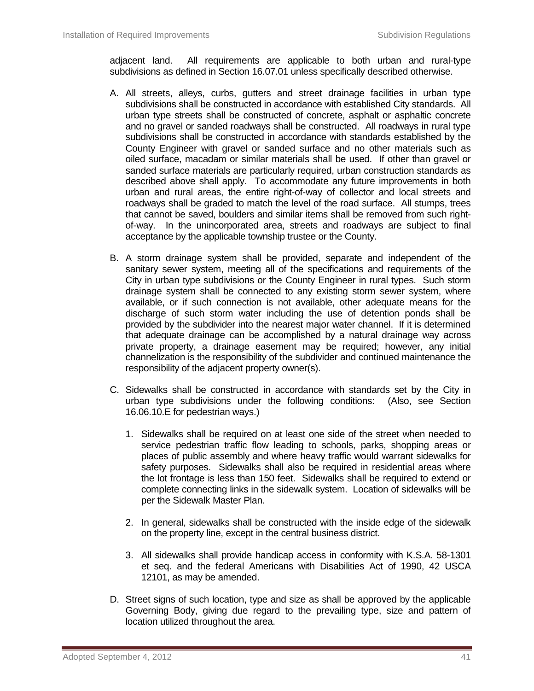adjacent land. All requirements are applicable to both urban and rural-type subdivisions as defined in Section 16.07.01 unless specifically described otherwise.

- A. All streets, alleys, curbs, gutters and street drainage facilities in urban type subdivisions shall be constructed in accordance with established City standards. All urban type streets shall be constructed of concrete, asphalt or asphaltic concrete and no gravel or sanded roadways shall be constructed. All roadways in rural type subdivisions shall be constructed in accordance with standards established by the County Engineer with gravel or sanded surface and no other materials such as oiled surface, macadam or similar materials shall be used. If other than gravel or sanded surface materials are particularly required, urban construction standards as described above shall apply. To accommodate any future improvements in both urban and rural areas, the entire right-of-way of collector and local streets and roadways shall be graded to match the level of the road surface. All stumps, trees that cannot be saved, boulders and similar items shall be removed from such rightof-way. In the unincorporated area, streets and roadways are subject to final acceptance by the applicable township trustee or the County.
- B. A storm drainage system shall be provided, separate and independent of the sanitary sewer system, meeting all of the specifications and requirements of the City in urban type subdivisions or the County Engineer in rural types. Such storm drainage system shall be connected to any existing storm sewer system, where available, or if such connection is not available, other adequate means for the discharge of such storm water including the use of detention ponds shall be provided by the subdivider into the nearest major water channel. If it is determined that adequate drainage can be accomplished by a natural drainage way across private property, a drainage easement may be required; however, any initial channelization is the responsibility of the subdivider and continued maintenance the responsibility of the adjacent property owner(s).
- C. Sidewalks shall be constructed in accordance with standards set by the City in urban type subdivisions under the following conditions: (Also, see Section 16.06.10.E for pedestrian ways.)
	- 1. Sidewalks shall be required on at least one side of the street when needed to service pedestrian traffic flow leading to schools, parks, shopping areas or places of public assembly and where heavy traffic would warrant sidewalks for safety purposes. Sidewalks shall also be required in residential areas where the lot frontage is less than 150 feet. Sidewalks shall be required to extend or complete connecting links in the sidewalk system. Location of sidewalks will be per the Sidewalk Master Plan.
	- 2. In general, sidewalks shall be constructed with the inside edge of the sidewalk on the property line, except in the central business district.
	- 3. All sidewalks shall provide handicap access in conformity with K.S.A. 58-1301 et seq. and the federal Americans with Disabilities Act of 1990, 42 USCA 12101, as may be amended.
- D. Street signs of such location, type and size as shall be approved by the applicable Governing Body, giving due regard to the prevailing type, size and pattern of location utilized throughout the area.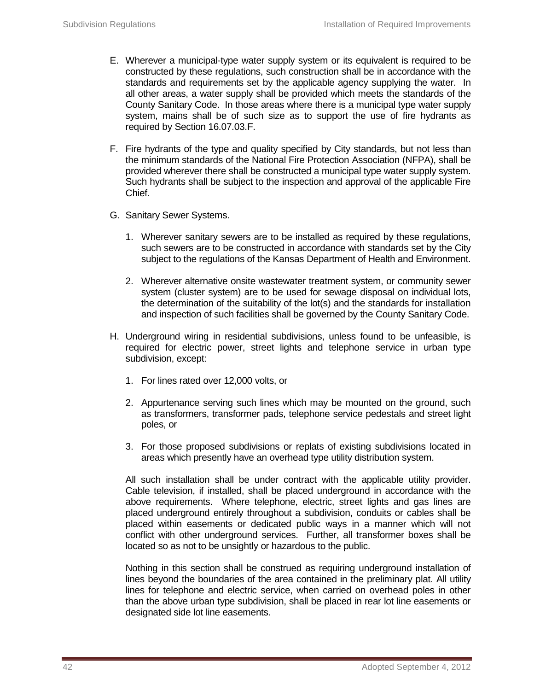- E. Wherever a municipal-type water supply system or its equivalent is required to be constructed by these regulations, such construction shall be in accordance with the standards and requirements set by the applicable agency supplying the water. In all other areas, a water supply shall be provided which meets the standards of the County Sanitary Code. In those areas where there is a municipal type water supply system, mains shall be of such size as to support the use of fire hydrants as required by Section 16.07.03.F.
- F. Fire hydrants of the type and quality specified by City standards, but not less than the minimum standards of the National Fire Protection Association (NFPA), shall be provided wherever there shall be constructed a municipal type water supply system. Such hydrants shall be subject to the inspection and approval of the applicable Fire Chief.
- G. Sanitary Sewer Systems.
	- 1. Wherever sanitary sewers are to be installed as required by these regulations, such sewers are to be constructed in accordance with standards set by the City subject to the regulations of the Kansas Department of Health and Environment.
	- 2. Wherever alternative onsite wastewater treatment system, or community sewer system (cluster system) are to be used for sewage disposal on individual lots, the determination of the suitability of the lot(s) and the standards for installation and inspection of such facilities shall be governed by the County Sanitary Code.
- H. Underground wiring in residential subdivisions, unless found to be unfeasible, is required for electric power, street lights and telephone service in urban type subdivision, except:
	- 1. For lines rated over 12,000 volts, or
	- 2. Appurtenance serving such lines which may be mounted on the ground, such as transformers, transformer pads, telephone service pedestals and street light poles, or
	- 3. For those proposed subdivisions or replats of existing subdivisions located in areas which presently have an overhead type utility distribution system.

All such installation shall be under contract with the applicable utility provider. Cable television, if installed, shall be placed underground in accordance with the above requirements. Where telephone, electric, street lights and gas lines are placed underground entirely throughout a subdivision, conduits or cables shall be placed within easements or dedicated public ways in a manner which will not conflict with other underground services. Further, all transformer boxes shall be located so as not to be unsightly or hazardous to the public.

Nothing in this section shall be construed as requiring underground installation of lines beyond the boundaries of the area contained in the preliminary plat. All utility lines for telephone and electric service, when carried on overhead poles in other than the above urban type subdivision, shall be placed in rear lot line easements or designated side lot line easements.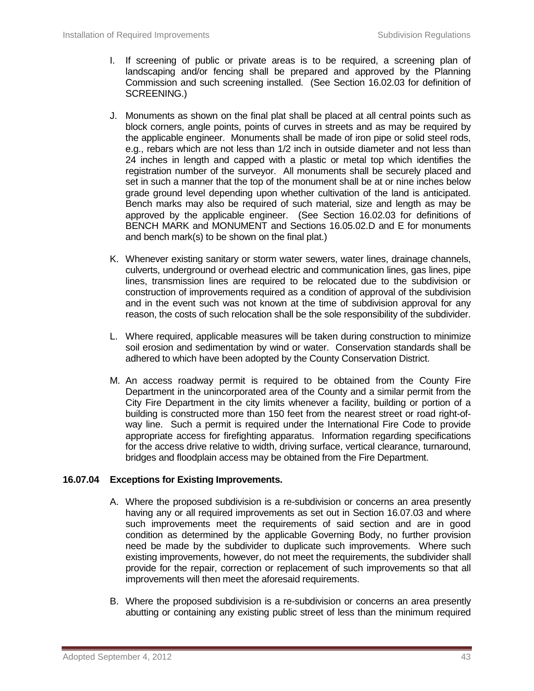- I. If screening of public or private areas is to be required, a screening plan of landscaping and/or fencing shall be prepared and approved by the Planning Commission and such screening installed. (See Section 16.02.03 for definition of SCREENING.)
- J. Monuments as shown on the final plat shall be placed at all central points such as block corners, angle points, points of curves in streets and as may be required by the applicable engineer. Monuments shall be made of iron pipe or solid steel rods, e.g., rebars which are not less than 1/2 inch in outside diameter and not less than 24 inches in length and capped with a plastic or metal top which identifies the registration number of the surveyor. All monuments shall be securely placed and set in such a manner that the top of the monument shall be at or nine inches below grade ground level depending upon whether cultivation of the land is anticipated. Bench marks may also be required of such material, size and length as may be approved by the applicable engineer. (See Section 16.02.03 for definitions of BENCH MARK and MONUMENT and Sections 16.05.02.D and E for monuments and bench mark(s) to be shown on the final plat.)
- K. Whenever existing sanitary or storm water sewers, water lines, drainage channels, culverts, underground or overhead electric and communication lines, gas lines, pipe lines, transmission lines are required to be relocated due to the subdivision or construction of improvements required as a condition of approval of the subdivision and in the event such was not known at the time of subdivision approval for any reason, the costs of such relocation shall be the sole responsibility of the subdivider.
- L. Where required, applicable measures will be taken during construction to minimize soil erosion and sedimentation by wind or water. Conservation standards shall be adhered to which have been adopted by the County Conservation District.
- M. An access roadway permit is required to be obtained from the County Fire Department in the unincorporated area of the County and a similar permit from the City Fire Department in the city limits whenever a facility, building or portion of a building is constructed more than 150 feet from the nearest street or road right-ofway line. Such a permit is required under the International Fire Code to provide appropriate access for firefighting apparatus. Information regarding specifications for the access drive relative to width, driving surface, vertical clearance, turnaround, bridges and floodplain access may be obtained from the Fire Department.

## **16.07.04 Exceptions for Existing Improvements.**

- A. Where the proposed subdivision is a re-subdivision or concerns an area presently having any or all required improvements as set out in Section 16.07.03 and where such improvements meet the requirements of said section and are in good condition as determined by the applicable Governing Body, no further provision need be made by the subdivider to duplicate such improvements. Where such existing improvements, however, do not meet the requirements, the subdivider shall provide for the repair, correction or replacement of such improvements so that all improvements will then meet the aforesaid requirements.
- B. Where the proposed subdivision is a re-subdivision or concerns an area presently abutting or containing any existing public street of less than the minimum required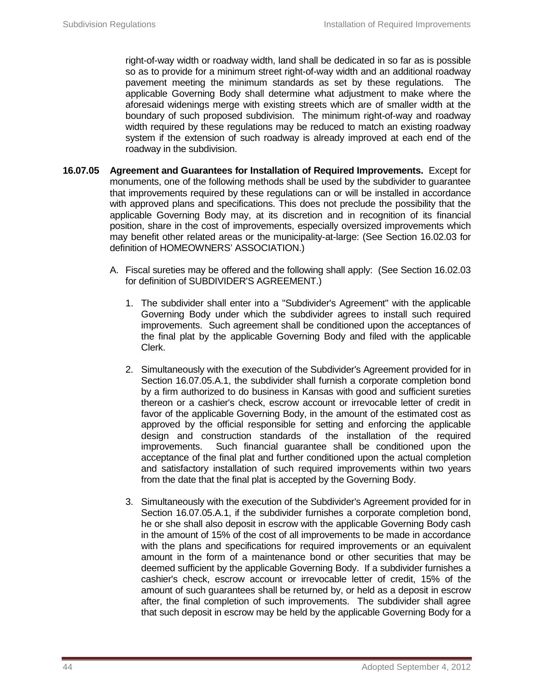right-of-way width or roadway width, land shall be dedicated in so far as is possible so as to provide for a minimum street right-of-way width and an additional roadway pavement meeting the minimum standards as set by these regulations. The applicable Governing Body shall determine what adjustment to make where the aforesaid widenings merge with existing streets which are of smaller width at the boundary of such proposed subdivision. The minimum right-of-way and roadway width required by these regulations may be reduced to match an existing roadway system if the extension of such roadway is already improved at each end of the roadway in the subdivision.

- **16.07.05 Agreement and Guarantees for Installation of Required Improvements.** Except for monuments, one of the following methods shall be used by the subdivider to guarantee that improvements required by these regulations can or will be installed in accordance with approved plans and specifications. This does not preclude the possibility that the applicable Governing Body may, at its discretion and in recognition of its financial position, share in the cost of improvements, especially oversized improvements which may benefit other related areas or the municipality-at-large: (See Section 16.02.03 for definition of HOMEOWNERS' ASSOCIATION.)
	- A. Fiscal sureties may be offered and the following shall apply: (See Section 16.02.03 for definition of SUBDIVIDER'S AGREEMENT.)
		- 1. The subdivider shall enter into a "Subdivider's Agreement" with the applicable Governing Body under which the subdivider agrees to install such required improvements. Such agreement shall be conditioned upon the acceptances of the final plat by the applicable Governing Body and filed with the applicable Clerk.
		- 2. Simultaneously with the execution of the Subdivider's Agreement provided for in Section 16.07.05.A.1, the subdivider shall furnish a corporate completion bond by a firm authorized to do business in Kansas with good and sufficient sureties thereon or a cashier's check, escrow account or irrevocable letter of credit in favor of the applicable Governing Body, in the amount of the estimated cost as approved by the official responsible for setting and enforcing the applicable design and construction standards of the installation of the required improvements. Such financial guarantee shall be conditioned upon the acceptance of the final plat and further conditioned upon the actual completion and satisfactory installation of such required improvements within two years from the date that the final plat is accepted by the Governing Body.
		- 3. Simultaneously with the execution of the Subdivider's Agreement provided for in Section 16.07.05.A.1, if the subdivider furnishes a corporate completion bond, he or she shall also deposit in escrow with the applicable Governing Body cash in the amount of 15% of the cost of all improvements to be made in accordance with the plans and specifications for required improvements or an equivalent amount in the form of a maintenance bond or other securities that may be deemed sufficient by the applicable Governing Body. If a subdivider furnishes a cashier's check, escrow account or irrevocable letter of credit, 15% of the amount of such guarantees shall be returned by, or held as a deposit in escrow after, the final completion of such improvements. The subdivider shall agree that such deposit in escrow may be held by the applicable Governing Body for a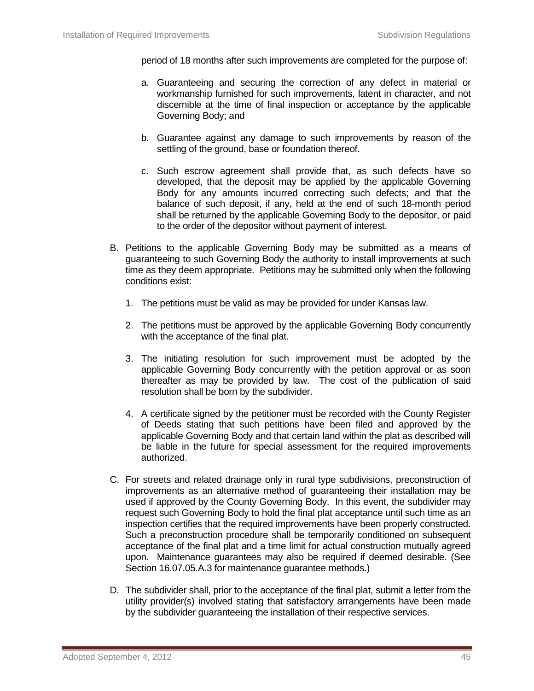period of 18 months after such improvements are completed for the purpose of:

- a. Guaranteeing and securing the correction of any defect in material or workmanship furnished for such improvements, latent in character, and not discernible at the time of final inspection or acceptance by the applicable Governing Body; and
- b. Guarantee against any damage to such improvements by reason of the settling of the ground, base or foundation thereof.
- c. Such escrow agreement shall provide that, as such defects have so developed, that the deposit may be applied by the applicable Governing Body for any amounts incurred correcting such defects; and that the balance of such deposit, if any, held at the end of such 18-month period shall be returned by the applicable Governing Body to the depositor, or paid to the order of the depositor without payment of interest.
- B. Petitions to the applicable Governing Body may be submitted as a means of guaranteeing to such Governing Body the authority to install improvements at such time as they deem appropriate. Petitions may be submitted only when the following conditions exist:
	- 1. The petitions must be valid as may be provided for under Kansas law.
	- 2. The petitions must be approved by the applicable Governing Body concurrently with the acceptance of the final plat.
	- 3. The initiating resolution for such improvement must be adopted by the applicable Governing Body concurrently with the petition approval or as soon thereafter as may be provided by law. The cost of the publication of said resolution shall be born by the subdivider.
	- 4. A certificate signed by the petitioner must be recorded with the County Register of Deeds stating that such petitions have been filed and approved by the applicable Governing Body and that certain land within the plat as described will be liable in the future for special assessment for the required improvements authorized.
- C. For streets and related drainage only in rural type subdivisions, preconstruction of improvements as an alternative method of guaranteeing their installation may be used if approved by the County Governing Body. In this event, the subdivider may request such Governing Body to hold the final plat acceptance until such time as an inspection certifies that the required improvements have been properly constructed. Such a preconstruction procedure shall be temporarily conditioned on subsequent acceptance of the final plat and a time limit for actual construction mutually agreed upon. Maintenance guarantees may also be required if deemed desirable. (See Section 16.07.05.A.3 for maintenance guarantee methods.)
- D. The subdivider shall, prior to the acceptance of the final plat, submit a letter from the utility provider(s) involved stating that satisfactory arrangements have been made by the subdivider guaranteeing the installation of their respective services.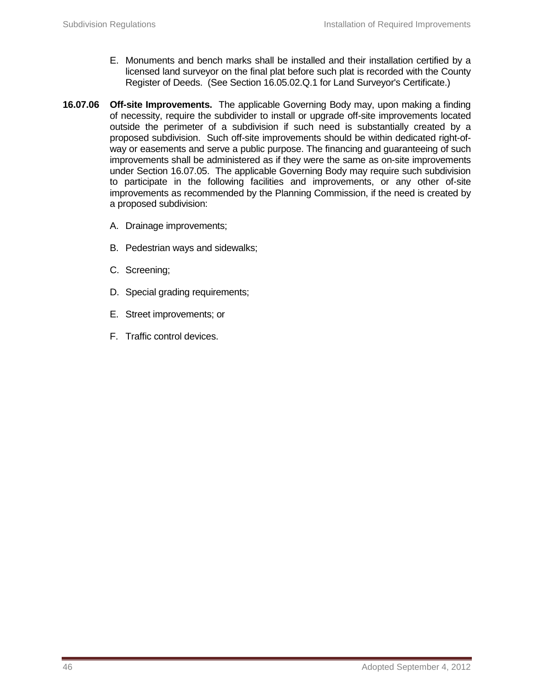- E. Monuments and bench marks shall be installed and their installation certified by a licensed land surveyor on the final plat before such plat is recorded with the County Register of Deeds. (See Section 16.05.02.Q.1 for Land Surveyor's Certificate.)
- **16.07.06 Off-site Improvements.** The applicable Governing Body may, upon making a finding of necessity, require the subdivider to install or upgrade off-site improvements located outside the perimeter of a subdivision if such need is substantially created by a proposed subdivision. Such off-site improvements should be within dedicated right-ofway or easements and serve a public purpose. The financing and guaranteeing of such improvements shall be administered as if they were the same as on-site improvements under Section 16.07.05. The applicable Governing Body may require such subdivision to participate in the following facilities and improvements, or any other of-site improvements as recommended by the Planning Commission, if the need is created by a proposed subdivision:
	- A. Drainage improvements;
	- B. Pedestrian ways and sidewalks;
	- C. Screening;
	- D. Special grading requirements;
	- E. Street improvements; or
	- F. Traffic control devices.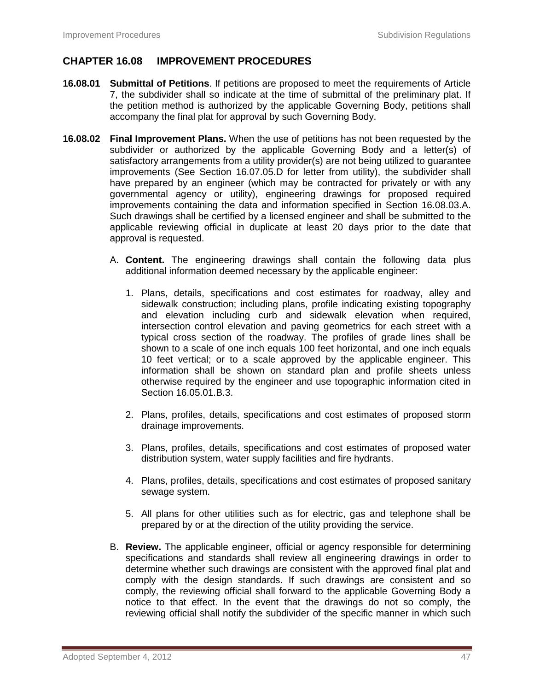## **CHAPTER 16.08 IMPROVEMENT PROCEDURES**

- **16.08.01 Submittal of Petitions**. If petitions are proposed to meet the requirements of Article 7, the subdivider shall so indicate at the time of submittal of the preliminary plat. If the petition method is authorized by the applicable Governing Body, petitions shall accompany the final plat for approval by such Governing Body.
- **16.08.02 Final Improvement Plans.** When the use of petitions has not been requested by the subdivider or authorized by the applicable Governing Body and a letter(s) of satisfactory arrangements from a utility provider(s) are not being utilized to guarantee improvements (See Section 16.07.05.D for letter from utility), the subdivider shall have prepared by an engineer (which may be contracted for privately or with any governmental agency or utility), engineering drawings for proposed required improvements containing the data and information specified in Section 16.08.03.A. Such drawings shall be certified by a licensed engineer and shall be submitted to the applicable reviewing official in duplicate at least 20 days prior to the date that approval is requested.
	- A. **Content.** The engineering drawings shall contain the following data plus additional information deemed necessary by the applicable engineer:
		- 1. Plans, details, specifications and cost estimates for roadway, alley and sidewalk construction; including plans, profile indicating existing topography and elevation including curb and sidewalk elevation when required, intersection control elevation and paving geometrics for each street with a typical cross section of the roadway. The profiles of grade lines shall be shown to a scale of one inch equals 100 feet horizontal, and one inch equals 10 feet vertical; or to a scale approved by the applicable engineer. This information shall be shown on standard plan and profile sheets unless otherwise required by the engineer and use topographic information cited in Section 16.05.01.B.3.
		- 2. Plans, profiles, details, specifications and cost estimates of proposed storm drainage improvements.
		- 3. Plans, profiles, details, specifications and cost estimates of proposed water distribution system, water supply facilities and fire hydrants.
		- 4. Plans, profiles, details, specifications and cost estimates of proposed sanitary sewage system.
		- 5. All plans for other utilities such as for electric, gas and telephone shall be prepared by or at the direction of the utility providing the service.
	- B. **Review.** The applicable engineer, official or agency responsible for determining specifications and standards shall review all engineering drawings in order to determine whether such drawings are consistent with the approved final plat and comply with the design standards. If such drawings are consistent and so comply, the reviewing official shall forward to the applicable Governing Body a notice to that effect. In the event that the drawings do not so comply, the reviewing official shall notify the subdivider of the specific manner in which such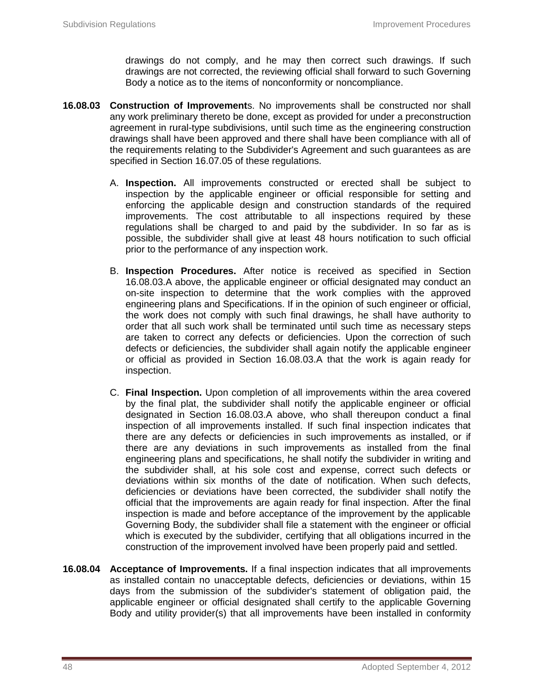drawings do not comply, and he may then correct such drawings. If such drawings are not corrected, the reviewing official shall forward to such Governing Body a notice as to the items of nonconformity or noncompliance.

- **16.08.03 Construction of Improvement**s. No improvements shall be constructed nor shall any work preliminary thereto be done, except as provided for under a preconstruction agreement in rural-type subdivisions, until such time as the engineering construction drawings shall have been approved and there shall have been compliance with all of the requirements relating to the Subdivider's Agreement and such guarantees as are specified in Section 16.07.05 of these regulations.
	- A. **Inspection.** All improvements constructed or erected shall be subject to inspection by the applicable engineer or official responsible for setting and enforcing the applicable design and construction standards of the required improvements. The cost attributable to all inspections required by these regulations shall be charged to and paid by the subdivider. In so far as is possible, the subdivider shall give at least 48 hours notification to such official prior to the performance of any inspection work.
	- B. **Inspection Procedures.** After notice is received as specified in Section 16.08.03.A above, the applicable engineer or official designated may conduct an on-site inspection to determine that the work complies with the approved engineering plans and Specifications. If in the opinion of such engineer or official, the work does not comply with such final drawings, he shall have authority to order that all such work shall be terminated until such time as necessary steps are taken to correct any defects or deficiencies. Upon the correction of such defects or deficiencies, the subdivider shall again notify the applicable engineer or official as provided in Section 16.08.03.A that the work is again ready for inspection.
	- C. **Final Inspection.** Upon completion of all improvements within the area covered by the final plat, the subdivider shall notify the applicable engineer or official designated in Section 16.08.03.A above, who shall thereupon conduct a final inspection of all improvements installed. If such final inspection indicates that there are any defects or deficiencies in such improvements as installed, or if there are any deviations in such improvements as installed from the final engineering plans and specifications, he shall notify the subdivider in writing and the subdivider shall, at his sole cost and expense, correct such defects or deviations within six months of the date of notification. When such defects, deficiencies or deviations have been corrected, the subdivider shall notify the official that the improvements are again ready for final inspection. After the final inspection is made and before acceptance of the improvement by the applicable Governing Body, the subdivider shall file a statement with the engineer or official which is executed by the subdivider, certifying that all obligations incurred in the construction of the improvement involved have been properly paid and settled.
- **16.08.04 Acceptance of Improvements.** If a final inspection indicates that all improvements as installed contain no unacceptable defects, deficiencies or deviations, within 15 days from the submission of the subdivider's statement of obligation paid, the applicable engineer or official designated shall certify to the applicable Governing Body and utility provider(s) that all improvements have been installed in conformity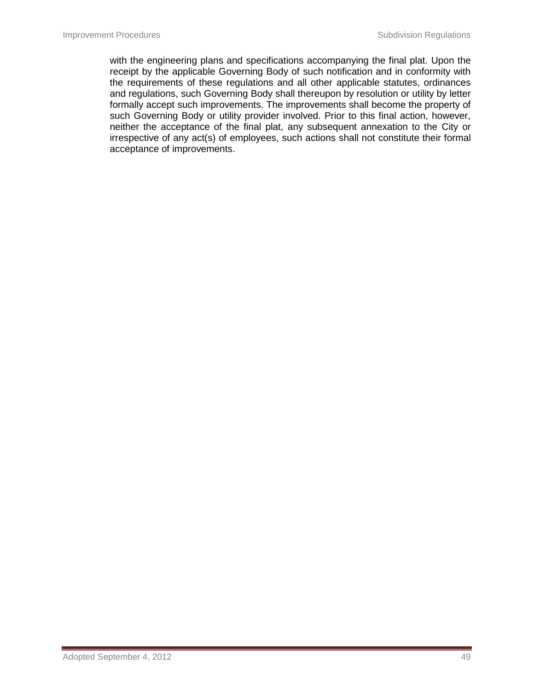with the engineering plans and specifications accompanying the final plat. Upon the receipt by the applicable Governing Body of such notification and in conformity with the requirements of these regulations and all other applicable statutes, ordinances and regulations, such Governing Body shall thereupon by resolution or utility by letter formally accept such improvements. The improvements shall become the property of such Governing Body or utility provider involved. Prior to this final action, however, neither the acceptance of the final plat, any subsequent annexation to the City or irrespective of any act(s) of employees, such actions shall not constitute their formal acceptance of improvements.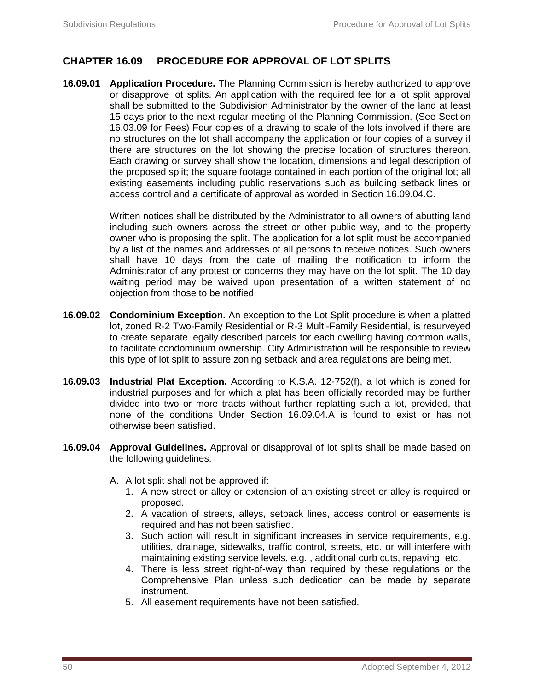# **CHAPTER 16.09 PROCEDURE FOR APPROVAL OF LOT SPLITS**

**16.09.01 Application Procedure.** The Planning Commission is hereby authorized to approve or disapprove lot splits. An application with the required fee for a lot split approval shall be submitted to the Subdivision Administrator by the owner of the land at least 15 days prior to the next regular meeting of the Planning Commission. (See Section 16.03.09 for Fees) Four copies of a drawing to scale of the lots involved if there are no structures on the lot shall accompany the application or four copies of a survey if there are structures on the lot showing the precise location of structures thereon. Each drawing or survey shall show the location, dimensions and legal description of the proposed split; the square footage contained in each portion of the original lot; all existing easements including public reservations such as building setback lines or access control and a certificate of approval as worded in Section 16.09.04.C.

> Written notices shall be distributed by the Administrator to all owners of abutting land including such owners across the street or other public way, and to the property owner who is proposing the split. The application for a lot split must be accompanied by a list of the names and addresses of all persons to receive notices. Such owners shall have 10 days from the date of mailing the notification to inform the Administrator of any protest or concerns they may have on the lot split. The 10 day waiting period may be waived upon presentation of a written statement of no objection from those to be notified

- **16.09.02 Condominium Exception.** An exception to the Lot Split procedure is when a platted lot, zoned R-2 Two-Family Residential or R-3 Multi-Family Residential, is resurveyed to create separate legally described parcels for each dwelling having common walls, to facilitate condominium ownership. City Administration will be responsible to review this type of lot split to assure zoning setback and area regulations are being met.
- **16.09.03 Industrial Plat Exception.** According to K.S.A. 12-752(f), a lot which is zoned for industrial purposes and for which a plat has been officially recorded may be further divided into two or more tracts without further replatting such a lot, provided, that none of the conditions Under Section 16.09.04.A is found to exist or has not otherwise been satisfied.
- **16.09.04 Approval Guidelines.** Approval or disapproval of lot splits shall be made based on the following guidelines:
	- A. A lot split shall not be approved if:
		- 1. A new street or alley or extension of an existing street or alley is required or proposed.
		- 2. A vacation of streets, alleys, setback lines, access control or easements is required and has not been satisfied.
		- 3. Such action will result in significant increases in service requirements, e.g. utilities, drainage, sidewalks, traffic control, streets, etc. or will interfere with maintaining existing service levels, e.g. , additional curb cuts, repaving, etc.
		- 4. There is less street right-of-way than required by these regulations or the Comprehensive Plan unless such dedication can be made by separate instrument.
		- 5. All easement requirements have not been satisfied.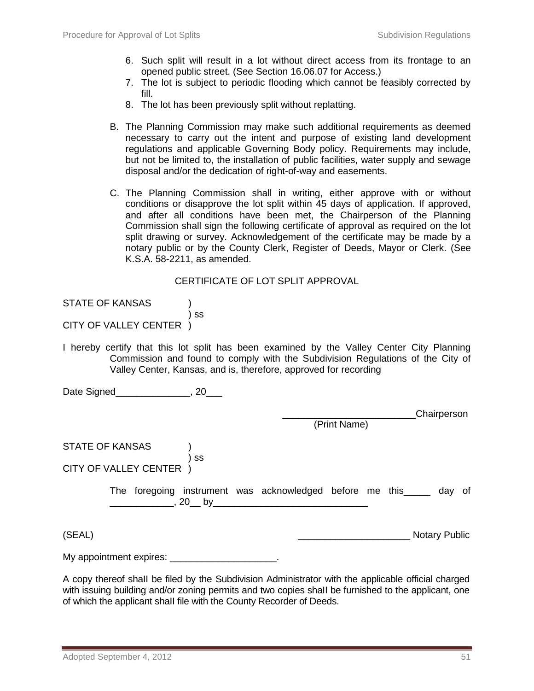- 6. Such split will result in a lot without direct access from its frontage to an opened public street. (See Section 16.06.07 for Access.)
- 7. The lot is subject to periodic flooding which cannot be feasibly corrected by fill.
- 8. The lot has been previously split without replatting.
- B. The Planning Commission may make such additional requirements as deemed necessary to carry out the intent and purpose of existing land development regulations and applicable Governing Body policy. Requirements may include, but not be limited to, the installation of public facilities, water supply and sewage disposal and/or the dedication of right-of-way and easements.
- C. The Planning Commission shall in writing, either approve with or without conditions or disapprove the lot split within 45 days of application. If approved, and after all conditions have been met, the Chairperson of the Planning Commission shall sign the following certificate of approval as required on the lot split drawing or survey. Acknowledgement of the certificate may be made by a notary public or by the County Clerk, Register of Deeds, Mayor or Clerk. (See K.S.A. 58-2211, as amended.

#### CERTIFICATE OF LOT SPLIT APPROVAL

| <b>STATE OF KANSAS</b> |  |
|------------------------|--|
|------------------------|--|

# CITY OF VALLEY CENTER )

I hereby certify that this lot split has been examined by the Valley Center City Planning Commission and found to comply with the Subdivision Regulations of the City of Valley Center, Kansas, and is, therefore, approved for recording

Date Signed\_\_\_\_\_\_\_\_\_\_\_\_\_, 20\_\_\_

\_\_\_\_\_\_\_\_\_\_\_\_\_\_\_\_\_\_\_\_\_\_\_\_\_Chairperson

(Print Name)

STATE OF KANSAS (1)

) ss CITY OF VALLEY CENTER )

> The foregoing instrument was acknowledged before me this and day of \_\_\_\_\_\_\_\_\_\_\_\_, 20\_\_ by\_\_\_\_\_\_\_\_\_\_\_\_\_\_\_\_\_\_\_\_\_\_\_\_\_\_\_\_\_

(SEAL) \_\_\_\_\_\_\_\_\_\_\_\_\_\_\_\_\_\_\_\_\_ Notary Public

My appointment expires: **EXALL** 

 $\overline{\phantom{a}}$  ss

A copy thereof shaII be filed by the Subdivision Administrator with the applicable official charged with issuing building and/or zoning permits and two copies shall be furnished to the applicant, one of which the applicant shaII file with the County Recorder of Deeds.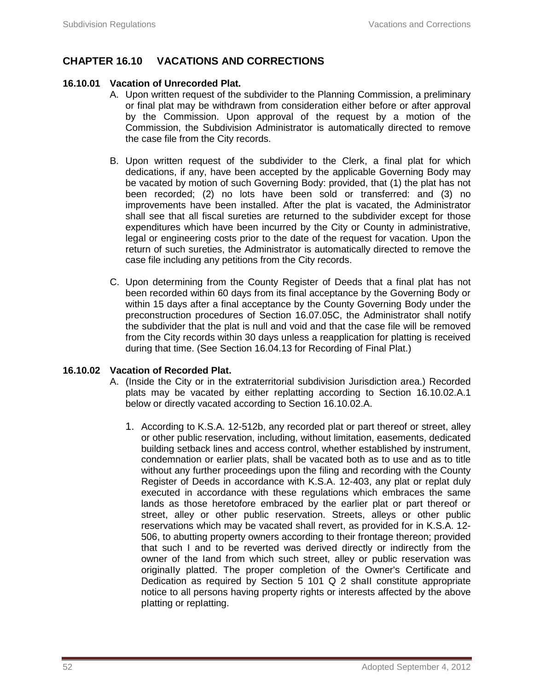# **CHAPTER 16.10 VACATIONS AND CORRECTIONS**

## **16.10.01 Vacation of Unrecorded Plat.**

- A. Upon written request of the subdivider to the Planning Commission, a preliminary or final plat may be withdrawn from consideration either before or after approval by the Commission. Upon approval of the request by a motion of the Commission, the Subdivision Administrator is automatically directed to remove the case file from the City records.
- B. Upon written request of the subdivider to the Clerk, a final plat for which dedications, if any, have been accepted by the applicable Governing Body may be vacated by motion of such Governing Body: provided, that (1) the plat has not been recorded; (2) no lots have been sold or transferred: and (3) no improvements have been installed. After the plat is vacated, the Administrator shall see that all fiscal sureties are returned to the subdivider except for those expenditures which have been incurred by the City or County in administrative, legal or engineering costs prior to the date of the request for vacation. Upon the return of such sureties, the Administrator is automatically directed to remove the case file including any petitions from the City records.
- C. Upon determining from the County Register of Deeds that a final plat has not been recorded within 60 days from its final acceptance by the Governing Body or within 15 days after a final acceptance by the County Governing Body under the preconstruction procedures of Section 16.07.05C, the Administrator shall notify the subdivider that the plat is null and void and that the case file will be removed from the City records within 30 days unless a reapplication for platting is received during that time. (See Section 16.04.13 for Recording of Final Plat.)

## **16.10.02 Vacation of Recorded Plat.**

- A. (Inside the City or in the extraterritorial subdivision Jurisdiction area.) Recorded plats may be vacated by either replatting according to Section 16.10.02.A.1 below or directly vacated according to Section 16.10.02.A.
	- 1. According to K.S.A. 12-512b, any recorded plat or part thereof or street, alley or other public reservation, including, without limitation, easements, dedicated building setback lines and access control, whether established by instrument, condemnation or earlier plats, shall be vacated both as to use and as to title without any further proceedings upon the filing and recording with the County Register of Deeds in accordance with K.S.A. 12-403, any plat or replat duly executed in accordance with these regulations which embraces the same lands as those heretofore embraced by the earlier plat or part thereof or street, alley or other public reservation. Streets, alleys or other public reservations which may be vacated shall revert, as provided for in K.S.A. 12- 506, to abutting property owners according to their frontage thereon; provided that such I and to be reverted was derived directly or indirectly from the owner of the Iand from which such street, alley or public reservation was originaIIy platted. The proper completion of the Owner's Certificate and Dedication as required by Section 5 101 Q 2 shaII constitute appropriate notice to all persons having property rights or interests affected by the above pIatting or repIatting.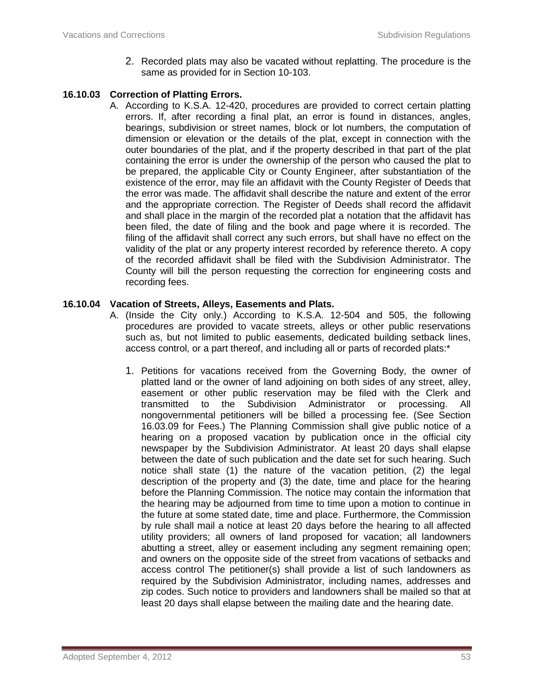2. Recorded plats may also be vacated without replatting. The procedure is the same as provided for in Section 10-103.

## **16.10.03 Correction of Platting Errors.**

A. According to K.S.A. 12-420, procedures are provided to correct certain platting errors. If, after recording a final plat, an error is found in distances, angles, bearings, subdivision or street names, block or lot numbers, the computation of dimension or elevation or the details of the plat, except in connection with the outer boundaries of the plat, and if the property described in that part of the plat containing the error is under the ownership of the person who caused the plat to be prepared, the applicable City or County Engineer, after substantiation of the existence of the error, may file an affidavit with the County Register of Deeds that the error was made. The affidavit shall describe the nature and extent of the error and the appropriate correction. The Register of Deeds shall record the affidavit and shall place in the margin of the recorded plat a notation that the affidavit has been filed, the date of filing and the book and page where it is recorded. The filing of the affidavit shall correct any such errors, but shall have no effect on the validity of the plat or any property interest recorded by reference thereto. A copy of the recorded affidavit shall be filed with the Subdivision Administrator. The County will bill the person requesting the correction for engineering costs and recording fees.

## **16.10.04 Vacation of Streets, Alleys, Easements and Plats.**

- A. (Inside the City only.) According to K.S.A. 12-504 and 505, the following procedures are provided to vacate streets, alleys or other public reservations such as, but not limited to public easements, dedicated building setback lines, access control, or a part thereof, and including all or parts of recorded plats:\*
	- 1. Petitions for vacations received from the Governing Body, the owner of platted land or the owner of land adjoining on both sides of any street, alley, easement or other public reservation may be filed with the Clerk and transmitted to the Subdivision Administrator or processing. All nongovernmental petitioners will be billed a processing fee. (See Section 16.03.09 for Fees.) The Planning Commission shall give public notice of a hearing on a proposed vacation by publication once in the official city newspaper by the Subdivision Administrator. At least 20 days shall elapse between the date of such publication and the date set for such hearing. Such notice shall state (1) the nature of the vacation petition, (2) the legal description of the property and (3) the date, time and place for the hearing before the Planning Commission. The notice may contain the information that the hearing may be adjourned from time to time upon a motion to continue in the future at some stated date, time and place. Furthermore, the Commission by rule shall mail a notice at least 20 days before the hearing to all affected utility providers; all owners of land proposed for vacation; all landowners abutting a street, alley or easement including any segment remaining open; and owners on the opposite side of the street from vacations of setbacks and access control The petitioner(s) shall provide a list of such landowners as required by the Subdivision Administrator, including names, addresses and zip codes. Such notice to providers and landowners shall be mailed so that at least 20 days shall elapse between the mailing date and the hearing date.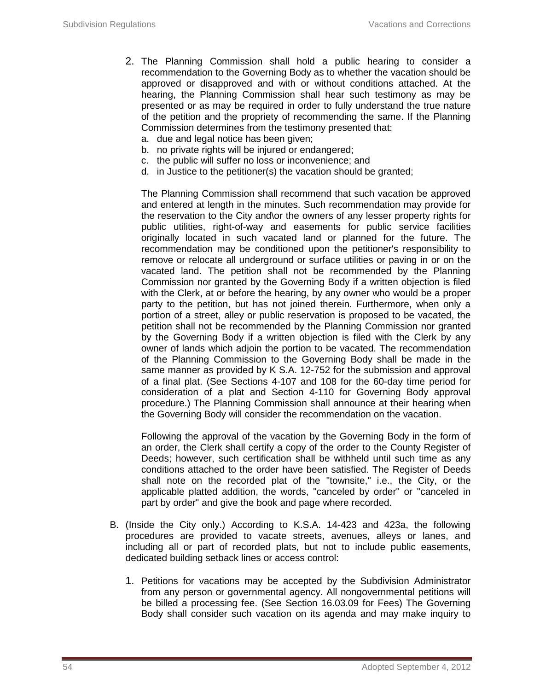- 2. The Planning Commission shall hold a public hearing to consider a recommendation to the Governing Body as to whether the vacation should be approved or disapproved and with or without conditions attached. At the hearing, the Planning Commission shall hear such testimony as may be presented or as may be required in order to fully understand the true nature of the petition and the propriety of recommending the same. If the Planning Commission determines from the testimony presented that:
	- a. due and legal notice has been given;
	- b. no private rights will be injured or endangered;
	- c. the public will suffer no loss or inconvenience; and
	- d. in Justice to the petitioner(s) the vacation should be granted;

The Planning Commission shall recommend that such vacation be approved and entered at length in the minutes. Such recommendation may provide for the reservation to the City and\or the owners of any lesser property rights for public utilities, right-of-way and easements for public service facilities originally located in such vacated land or planned for the future. The recommendation may be conditioned upon the petitioner's responsibility to remove or relocate all underground or surface utilities or paving in or on the vacated land. The petition shall not be recommended by the Planning Commission nor granted by the Governing Body if a written objection is filed with the Clerk, at or before the hearing, by any owner who would be a proper party to the petition, but has not joined therein. Furthermore, when only a portion of a street, alley or public reservation is proposed to be vacated, the petition shall not be recommended by the Planning Commission nor granted by the Governing Body if a written objection is filed with the Clerk by any owner of lands which adjoin the portion to be vacated. The recommendation of the Planning Commission to the Governing Body shall be made in the same manner as provided by K S.A. 12-752 for the submission and approval of a final plat. (See Sections 4-107 and 108 for the 60-day time period for consideration of a plat and Section 4-110 for Governing Body approval procedure.) The Planning Commission shall announce at their hearing when the Governing Body will consider the recommendation on the vacation.

Following the approval of the vacation by the Governing Body in the form of an order, the Clerk shall certify a copy of the order to the County Register of Deeds; however, such certification shall be withheld until such time as any conditions attached to the order have been satisfied. The Register of Deeds shall note on the recorded plat of the "townsite," i.e., the City, or the applicable platted addition, the words, "canceled by order" or "canceled in part by order" and give the book and page where recorded.

- B. (Inside the City only.) According to K.S.A. 14-423 and 423a, the following procedures are provided to vacate streets, avenues, alleys or lanes, and including all or part of recorded plats, but not to include public easements, dedicated building setback lines or access control:
	- 1. Petitions for vacations may be accepted by the Subdivision Administrator from any person or governmental agency. All nongovernmental petitions will be billed a processing fee. (See Section 16.03.09 for Fees) The Governing Body shall consider such vacation on its agenda and may make inquiry to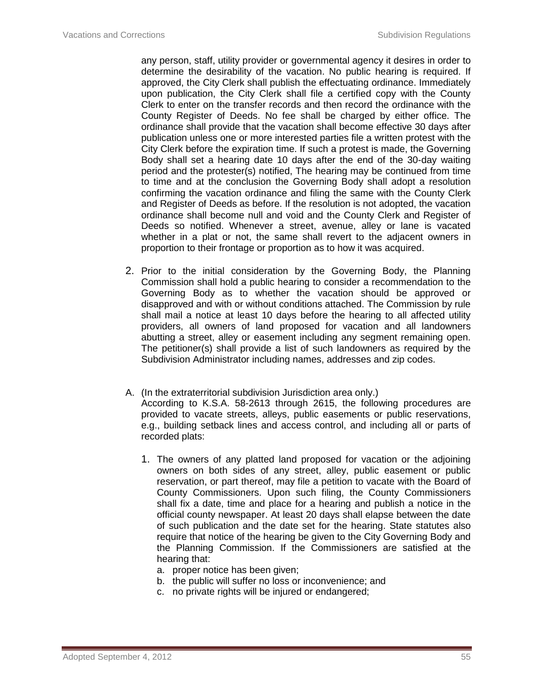any person, staff, utility provider or governmental agency it desires in order to determine the desirability of the vacation. No public hearing is required. If approved, the City Clerk shall publish the effectuating ordinance. Immediately upon publication, the City Clerk shall file a certified copy with the County Clerk to enter on the transfer records and then record the ordinance with the County Register of Deeds. No fee shall be charged by either office. The ordinance shall provide that the vacation shall become effective 30 days after publication unless one or more interested parties file a written protest with the City Clerk before the expiration time. If such a protest is made, the Governing Body shall set a hearing date 10 days after the end of the 30-day waiting period and the protester(s) notified, The hearing may be continued from time to time and at the conclusion the Governing Body shall adopt a resolution confirming the vacation ordinance and filing the same with the County Clerk and Register of Deeds as before. If the resolution is not adopted, the vacation ordinance shall become null and void and the County Clerk and Register of Deeds so notified. Whenever a street, avenue, alley or lane is vacated whether in a plat or not, the same shall revert to the adjacent owners in proportion to their frontage or proportion as to how it was acquired.

- 2. Prior to the initial consideration by the Governing Body, the Planning Commission shall hold a public hearing to consider a recommendation to the Governing Body as to whether the vacation should be approved or disapproved and with or without conditions attached. The Commission by rule shall mail a notice at least 10 days before the hearing to all affected utility providers, all owners of land proposed for vacation and all landowners abutting a street, alley or easement including any segment remaining open. The petitioner(s) shall provide a list of such landowners as required by the Subdivision Administrator including names, addresses and zip codes.
- A. (In the extraterritorial subdivision Jurisdiction area only.) According to K.S.A. 58-2613 through 2615, the following procedures are provided to vacate streets, alleys, public easements or public reservations, e.g., building setback lines and access control, and including all or parts of recorded plats:
	- 1. The owners of any platted land proposed for vacation or the adjoining owners on both sides of any street, alley, public easement or public reservation, or part thereof, may file a petition to vacate with the Board of County Commissioners. Upon such filing, the County Commissioners shall fix a date, time and place for a hearing and publish a notice in the official county newspaper. At least 20 days shall elapse between the date of such publication and the date set for the hearing. State statutes also require that notice of the hearing be given to the City Governing Body and the Planning Commission. If the Commissioners are satisfied at the hearing that:
		- a. proper notice has been given;
		- b. the public will suffer no loss or inconvenience; and
		- c. no private rights will be injured or endangered;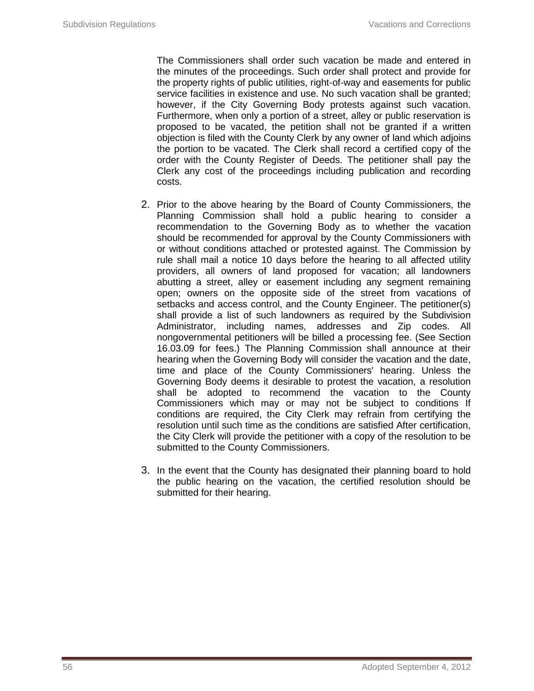The Commissioners shall order such vacation be made and entered in the minutes of the proceedings. Such order shall protect and provide for the property rights of public utilities, right-of-way and easements for public service facilities in existence and use. No such vacation shall be granted; however, if the City Governing Body protests against such vacation. Furthermore, when only a portion of a street, alley or public reservation is proposed to be vacated, the petition shall not be granted if a written objection is filed with the County Clerk by any owner of land which adjoins the portion to be vacated. The Clerk shall record a certified copy of the order with the County Register of Deeds. The petitioner shall pay the Clerk any cost of the proceedings including publication and recording costs.

- 2. Prior to the above hearing by the Board of County Commissioners, the Planning Commission shall hold a public hearing to consider a recommendation to the Governing Body as to whether the vacation should be recommended for approval by the County Commissioners with or without conditions attached or protested against. The Commission by rule shall mail a notice 10 days before the hearing to all affected utility providers, all owners of land proposed for vacation; all landowners abutting a street, alley or easement including any segment remaining open; owners on the opposite side of the street from vacations of setbacks and access control, and the County Engineer. The petitioner(s) shall provide a list of such landowners as required by the Subdivision Administrator, including names, addresses and Zip codes. All nongovernmental petitioners will be billed a processing fee. (See Section 16.03.09 for fees.) The Planning Commission shall announce at their hearing when the Governing Body will consider the vacation and the date, time and place of the County Commissioners' hearing. Unless the Governing Body deems it desirable to protest the vacation, a resolution shall be adopted to recommend the vacation to the County Commissioners which may or may not be subject to conditions If conditions are required, the City Clerk may refrain from certifying the resolution until such time as the conditions are satisfied After certification, the City Clerk will provide the petitioner with a copy of the resolution to be submitted to the County Commissioners.
- 3. In the event that the County has designated their planning board to hold the public hearing on the vacation, the certified resolution should be submitted for their hearing.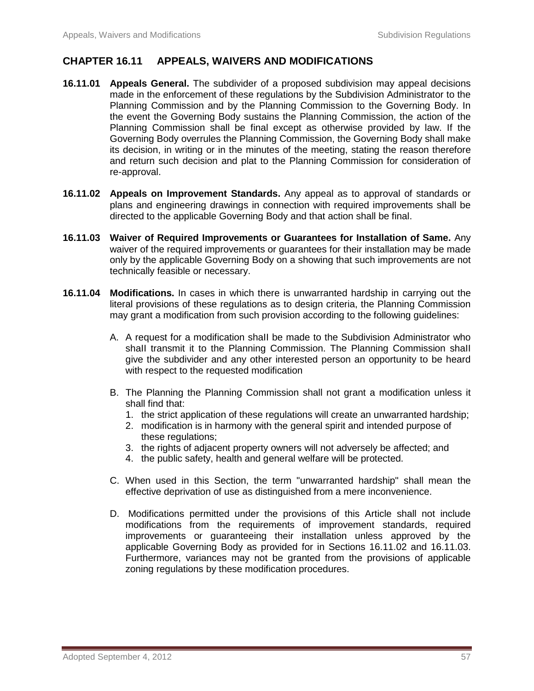## **CHAPTER 16.11 APPEALS, WAIVERS AND MODIFICATIONS**

- **16.11.01 Appeals General.** The subdivider of a proposed subdivision may appeal decisions made in the enforcement of these regulations by the Subdivision Administrator to the Planning Commission and by the Planning Commission to the Governing Body. In the event the Governing Body sustains the Planning Commission, the action of the Planning Commission shall be final except as otherwise provided by law. If the Governing Body overrules the Planning Commission, the Governing Body shall make its decision, in writing or in the minutes of the meeting, stating the reason therefore and return such decision and plat to the Planning Commission for consideration of re-approval.
- **16.11.02 Appeals on Improvement Standards.** Any appeal as to approval of standards or plans and engineering drawings in connection with required improvements shall be directed to the applicable Governing Body and that action shall be final.
- **16.11.03 Waiver of Required Improvements or Guarantees for Installation of Same.** Any waiver of the required improvements or guarantees for their installation may be made only by the applicable Governing Body on a showing that such improvements are not technically feasible or necessary.
- **16.11.04 Modifications.** In cases in which there is unwarranted hardship in carrying out the literal provisions of these regulations as to design criteria, the Planning Commission may grant a modification from such provision according to the following guidelines:
	- A. A request for a modification shaII be made to the Subdivision Administrator who shaII transmit it to the Planning Commission. The Planning Commission shaII give the subdivider and any other interested person an opportunity to be heard with respect to the requested modification
	- B. The Planning the Planning Commission shall not grant a modification unless it shall find that:
		- 1. the strict application of these regulations will create an unwarranted hardship;
		- 2. modification is in harmony with the general spirit and intended purpose of these regulations;
		- 3. the rights of adjacent property owners will not adversely be affected; and
		- 4. the public safety, health and general welfare will be protected.
	- C. When used in this Section, the term "unwarranted hardship" shall mean the effective deprivation of use as distinguished from a mere inconvenience.
	- D. Modifications permitted under the provisions of this Article shall not include modifications from the requirements of improvement standards, required improvements or guaranteeing their installation unless approved by the applicable Governing Body as provided for in Sections 16.11.02 and 16.11.03. Furthermore, variances may not be granted from the provisions of applicable zoning regulations by these modification procedures.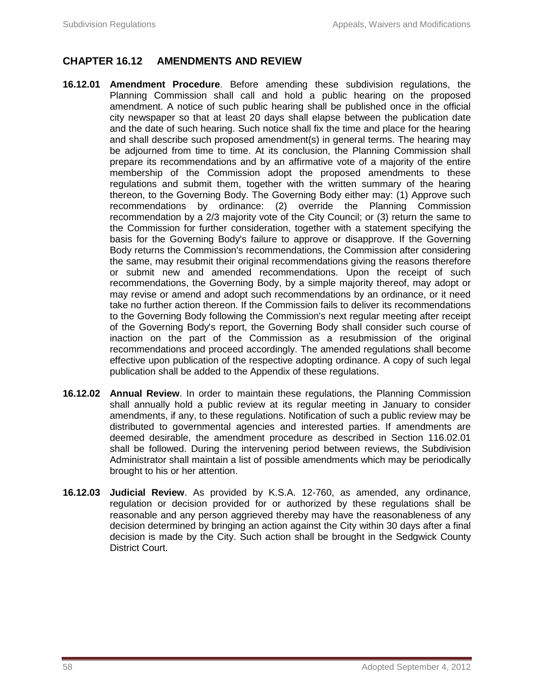# **CHAPTER 16.12 AMENDMENTS AND REVIEW**

- **16.12.01 Amendment Procedure**. Before amending these subdivision regulations, the Planning Commission shall call and hold a public hearing on the proposed amendment. A notice of such public hearing shall be published once in the official city newspaper so that at least 20 days shall elapse between the publication date and the date of such hearing. Such notice shall fix the time and place for the hearing and shall describe such proposed amendment(s) in general terms. The hearing may be adjourned from time to time. At its conclusion, the Planning Commission shall prepare its recommendations and by an affirmative vote of a majority of the entire membership of the Commission adopt the proposed amendments to these regulations and submit them, together with the written summary of the hearing thereon, to the Governing Body. The Governing Body either may: (1) Approve such recommendations by ordinance: (2) override the Planning Commission recommendation by a 2/3 majority vote of the City Council; or (3) return the same to the Commission for further consideration, together with a statement specifying the basis for the Governing Body's failure to approve or disapprove. If the Governing Body returns the Commission's recommendations, the Commission after considering the same, may resubmit their original recommendations giving the reasons therefore or submit new and amended recommendations. Upon the receipt of such recommendations, the Governing Body, by a simple majority thereof, may adopt or may revise or amend and adopt such recommendations by an ordinance, or it need take no further action thereon. If the Commission fails to deliver its recommendations to the Governing Body following the Commission's next regular meeting after receipt of the Governing Body's report, the Governing Body shall consider such course of inaction on the part of the Commission as a resubmission of the original recommendations and proceed accordingly. The amended regulations shall become effective upon publication of the respective adopting ordinance. A copy of such legal publication shall be added to the Appendix of these regulations.
- **16.12.02 Annual Review**. In order to maintain these regulations, the Planning Commission shall annually hold a public review at its regular meeting in January to consider amendments, if any, to these regulations. Notification of such a public review may be distributed to governmental agencies and interested parties. If amendments are deemed desirable, the amendment procedure as described in Section 116.02.01 shall be followed. During the intervening period between reviews, the Subdivision Administrator shall maintain a list of possible amendments which may be periodically brought to his or her attention.
- **16.12.03 Judicial Review**. As provided by K.S.A. 12-760, as amended, any ordinance, regulation or decision provided for or authorized by these regulations shall be reasonable and any person aggrieved thereby may have the reasonableness of any decision determined by bringing an action against the City within 30 days after a final decision is made by the City. Such action shall be brought in the Sedgwick County District Court.